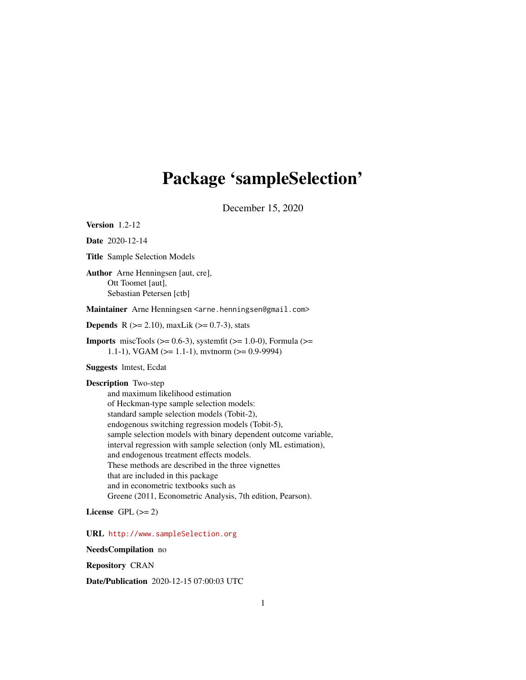# <span id="page-0-0"></span>Package 'sampleSelection'

December 15, 2020

Version 1.2-12

Date 2020-12-14

Title Sample Selection Models

Author Arne Henningsen [aut, cre], Ott Toomet [aut], Sebastian Petersen [ctb]

Maintainer Arne Henningsen <arne.henningsen@gmail.com>

**Depends** R  $(>= 2.10)$ , maxLik  $(>= 0.7-3)$ , stats

**Imports** miscTools  $(>= 0.6-3)$ , systemfit  $(>= 1.0-0)$ , Formula  $(>=$ 1.1-1), VGAM ( $>= 1.1$ -1), mvtnorm ( $>= 0.9$ -9994)

Suggests lmtest, Ecdat

Description Two-step and maximum likelihood estimation of Heckman-type sample selection models: standard sample selection models (Tobit-2), endogenous switching regression models (Tobit-5), sample selection models with binary dependent outcome variable, interval regression with sample selection (only ML estimation), and endogenous treatment effects models. These methods are described in the three vignettes that are included in this package and in econometric textbooks such as Greene (2011, Econometric Analysis, 7th edition, Pearson).

License GPL  $(>= 2)$ 

URL <http://www.sampleSelection.org>

NeedsCompilation no

Repository CRAN

Date/Publication 2020-12-15 07:00:03 UTC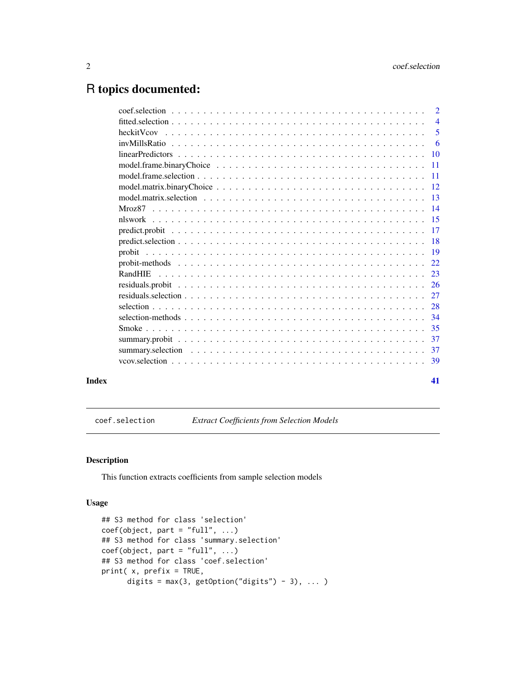# <span id="page-1-0"></span>R topics documented:

|       | model.frame.binaryChoice $\ldots \ldots \ldots \ldots \ldots \ldots \ldots \ldots \ldots \ldots \ldots \ldots \ldots 11$ |    |
|-------|--------------------------------------------------------------------------------------------------------------------------|----|
|       |                                                                                                                          |    |
|       |                                                                                                                          |    |
|       |                                                                                                                          |    |
|       |                                                                                                                          |    |
|       |                                                                                                                          |    |
|       |                                                                                                                          |    |
|       |                                                                                                                          |    |
|       |                                                                                                                          |    |
|       |                                                                                                                          |    |
|       |                                                                                                                          |    |
|       |                                                                                                                          |    |
|       |                                                                                                                          |    |
|       |                                                                                                                          |    |
|       |                                                                                                                          |    |
|       |                                                                                                                          |    |
|       |                                                                                                                          |    |
|       |                                                                                                                          |    |
|       |                                                                                                                          |    |
| Index |                                                                                                                          | 41 |

<span id="page-1-1"></span>coef.selection *Extract Coefficients from Selection Models*

# Description

This function extracts coefficients from sample selection models

#### Usage

```
## S3 method for class 'selection'
coef(object, part = "full", ...)## S3 method for class 'summary.selection'
coef(object, part = "full", ...)## S3 method for class 'coef.selection'
print( x, prefix = TRUE,
     digits = max(3, getOption("digits") - 3), ...
```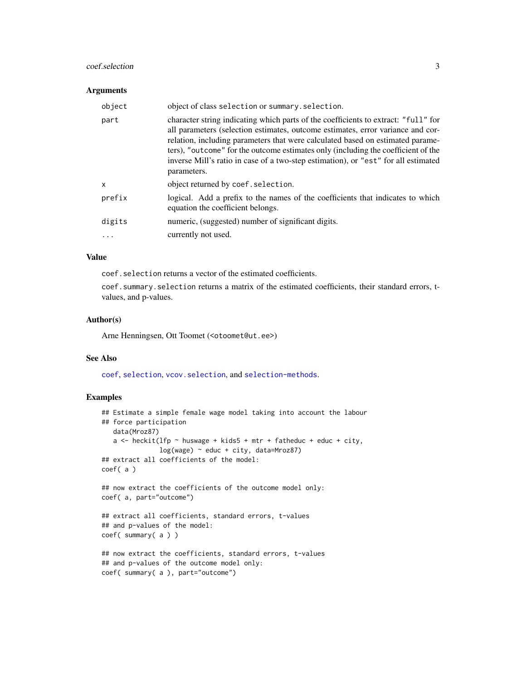# <span id="page-2-0"></span>coef.selection 3

#### Arguments

| object       | object of class selection or summary. selection.                                                                                                                                                                                                                                                                                                                                                                                                  |
|--------------|---------------------------------------------------------------------------------------------------------------------------------------------------------------------------------------------------------------------------------------------------------------------------------------------------------------------------------------------------------------------------------------------------------------------------------------------------|
| part         | character string indicating which parts of the coefficients to extract: "full" for<br>all parameters (selection estimates, outcome estimates, error variance and cor-<br>relation, including parameters that were calculated based on estimated parame-<br>ters), "outcome" for the outcome estimates only (including the coefficient of the<br>inverse Mill's ratio in case of a two-step estimation), or "est" for all estimated<br>parameters. |
| $\mathsf{x}$ | object returned by coef. selection.                                                                                                                                                                                                                                                                                                                                                                                                               |
| prefix       | logical. Add a prefix to the names of the coefficients that indicates to which<br>equation the coefficient belongs.                                                                                                                                                                                                                                                                                                                               |
| digits       | numeric, (suggested) number of significant digits.                                                                                                                                                                                                                                                                                                                                                                                                |
|              | currently not used.                                                                                                                                                                                                                                                                                                                                                                                                                               |

# Value

coef. selection returns a vector of the estimated coefficients.

coef.summary.selection returns a matrix of the estimated coefficients, their standard errors, tvalues, and p-values.

# Author(s)

Arne Henningsen, Ott Toomet (<otoomet@ut.ee>)

# See Also

[coef](#page-0-0), [selection](#page-27-1), [vcov.selection](#page-38-1), and [selection-methods](#page-33-1).

```
## Estimate a simple female wage model taking into account the labour
## force participation
   data(Mroz87)
   a \le heckit(lfp \sim huswage + kids5 + mtr + fatheduc + educ + city,
               log(wage) ~ educ + city, data=Mroz87)
## extract all coefficients of the model:
coef( a )
## now extract the coefficients of the outcome model only:
coef( a, part="outcome")
## extract all coefficients, standard errors, t-values
## and p-values of the model:
coef( summary( a ) )
## now extract the coefficients, standard errors, t-values
## and p-values of the outcome model only:
coef( summary( a ), part="outcome")
```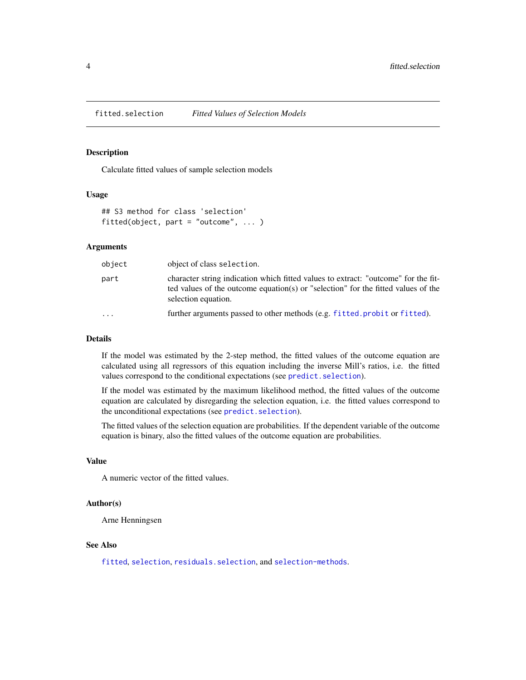<span id="page-3-1"></span><span id="page-3-0"></span>fitted.selection *Fitted Values of Selection Models*

# Description

Calculate fitted values of sample selection models

# Usage

```
## S3 method for class 'selection'
fitted(object, part = "outcome", ... )
```
# Arguments

| object    | object of class selection.                                                                                                                                                                     |
|-----------|------------------------------------------------------------------------------------------------------------------------------------------------------------------------------------------------|
| part      | character string indication which fitted values to extract: "outcome" for the fit-<br>ted values of the outcome equation(s) or "selection" for the fitted values of the<br>selection equation. |
| $\ddotsc$ | further arguments passed to other methods (e.g. fitted.probit or fitted).                                                                                                                      |

#### Details

If the model was estimated by the 2-step method, the fitted values of the outcome equation are calculated using all regressors of this equation including the inverse Mill's ratios, i.e. the fitted values correspond to the conditional expectations (see predict. selection).

If the model was estimated by the maximum likelihood method, the fitted values of the outcome equation are calculated by disregarding the selection equation, i.e. the fitted values correspond to the unconditional expectations (see [predict.selection](#page-17-1)).

The fitted values of the selection equation are probabilities. If the dependent variable of the outcome equation is binary, also the fitted values of the outcome equation are probabilities.

# Value

A numeric vector of the fitted values.

# Author(s)

Arne Henningsen

# See Also

[fitted](#page-0-0), [selection](#page-27-1), [residuals.selection](#page-26-1), and [selection-methods](#page-33-1).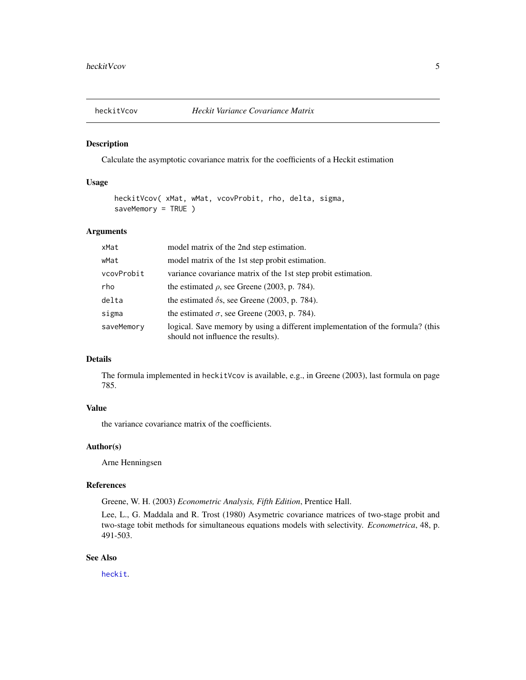<span id="page-4-0"></span>

Calculate the asymptotic covariance matrix for the coefficients of a Heckit estimation

# Usage

```
heckitVcov( xMat, wMat, vcovProbit, rho, delta, sigma,
saveMemory = TRUE )
```
# Arguments

| xMat       | model matrix of the 2nd step estimation.                                                                             |
|------------|----------------------------------------------------------------------------------------------------------------------|
| wMat       | model matrix of the 1st step probit estimation.                                                                      |
| vcovProbit | variance covariance matrix of the 1st step probit estimation.                                                        |
| rho        | the estimated $\rho$ , see Greene (2003, p. 784).                                                                    |
| delta      | the estimated $\delta$ s, see Greene (2003, p. 784).                                                                 |
| sigma      | the estimated $\sigma$ , see Greene (2003, p. 784).                                                                  |
| saveMemory | logical. Save memory by using a different implementation of the formula? (this<br>should not influence the results). |

# Details

The formula implemented in heckitVcov is available, e.g., in Greene (2003), last formula on page 785.

# Value

the variance covariance matrix of the coefficients.

#### Author(s)

Arne Henningsen

#### References

Greene, W. H. (2003) *Econometric Analysis, Fifth Edition*, Prentice Hall.

Lee, L., G. Maddala and R. Trost (1980) Asymetric covariance matrices of two-stage probit and two-stage tobit methods for simultaneous equations models with selectivity. *Econometrica*, 48, p. 491-503.

# See Also

[heckit](#page-27-2).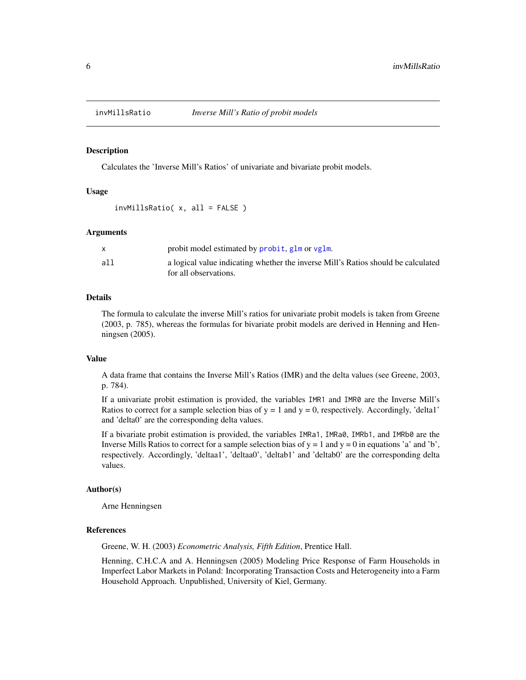<span id="page-5-0"></span>

Calculates the 'Inverse Mill's Ratios' of univariate and bivariate probit models.

#### Usage

invMillsRatio( x, all = FALSE )

### Arguments

|     | probit model estimated by probit, glm or vglm.                                    |
|-----|-----------------------------------------------------------------------------------|
| all | a logical value indicating whether the inverse Mill's Ratios should be calculated |
|     | for all observations.                                                             |

# Details

The formula to calculate the inverse Mill's ratios for univariate probit models is taken from Greene (2003, p. 785), whereas the formulas for bivariate probit models are derived in Henning and Henningsen (2005).

# Value

A data frame that contains the Inverse Mill's Ratios (IMR) and the delta values (see Greene, 2003, p. 784).

If a univariate probit estimation is provided, the variables IMR1 and IMR0 are the Inverse Mill's Ratios to correct for a sample selection bias of  $y = 1$  and  $y = 0$ , respectively. Accordingly, 'delta1' and 'delta0' are the corresponding delta values.

If a bivariate probit estimation is provided, the variables IMRa1, IMRa0, IMRb1, and IMRb0 are the Inverse Mills Ratios to correct for a sample selection bias of  $y = 1$  and  $y = 0$  in equations 'a' and 'b', respectively. Accordingly, 'deltaa1', 'deltaa0', 'deltab1' and 'deltab0' are the corresponding delta values.

#### Author(s)

Arne Henningsen

# References

Greene, W. H. (2003) *Econometric Analysis, Fifth Edition*, Prentice Hall.

Henning, C.H.C.A and A. Henningsen (2005) Modeling Price Response of Farm Households in Imperfect Labor Markets in Poland: Incorporating Transaction Costs and Heterogeneity into a Farm Household Approach. Unpublished, University of Kiel, Germany.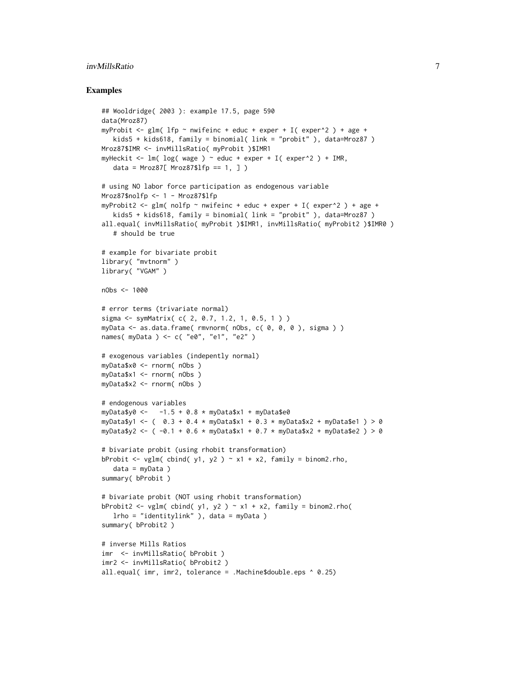# invMillsRatio 7

```
## Wooldridge( 2003 ): example 17.5, page 590
data(Mroz87)
myProbit <- glm( lfp ~ nwifeinc + educ + exper + I( exper^2 ) + age +
   kids5 + kids618, family = binomial( link = "probit" ), data=Mroz87 )
Mroz87$IMR <- invMillsRatio( myProbit )$IMR1
myHeckit <- lm( log( wage ) ~ ~educ + exper + I( exper^2 ) + IMR,
   data = Mroz87[ Mroz87$1fp == 1, ] )# using NO labor force participation as endogenous variable
Mroz87$nolfp <- 1 - Mroz87$lfp
myProbit2 <- glm( nolfp ~ nwifeinc + educ + exper + I( exper^2 ) + age +
   kids5 + kids618, family = binomial( link = "probit" ), data=Mroz87 )
all.equal( invMillsRatio( myProbit )$IMR1, invMillsRatio( myProbit2 )$IMR0 )
   # should be true
# example for bivariate probit
library( "mvtnorm" )
library( "VGAM" )
nObs <- 1000
# error terms (trivariate normal)
sigma <- symMatrix( c( 2, 0.7, 1.2, 1, 0.5, 1 ) )
myData <- as.data.frame( rmvnorm( nObs, c( 0, 0, 0 ), sigma ) )
names( myData ) <- c( "e0", "e1", "e2" )
# exogenous variables (indepently normal)
myData$x0 <- rnorm( nObs )
myData$x1 <- rnorm( nObs )
myData$x2 <- rnorm( nObs )
# endogenous variables
myData$y0 < -1.5 + 0.8 * myData$x1 + myData$e0myData$y1 <- ( 0.3 + 0.4 * myData$x1 + 0.3 * myData$x2 + myData$e1 ) > 0
myData$y2 <- (-0.1 + 0.6 \times \text{myData$}x1 + 0.7 \times \text{myData$}x2 + \text{myData$}e2 ) > 0# bivariate probit (using rhobit transformation)
bProbit <- vglm( cbind( y1, y2 ) \sim x1 + x2, family = binom2.rho,
   data = myData )
summary( bProbit )
# bivariate probit (NOT using rhobit transformation)
bProbit2 <- vglm( cbind( y1, y2 ) \sim x1 + x2, family = binom2.rho(
  lrho = "identitylink" ), data = myData )
summary( bProbit2 )
# inverse Mills Ratios
imr <- invMillsRatio( bProbit )
imr2 <- invMillsRatio( bProbit2 )
all.equal( imr, imr2, tolerance = .Machine$double.eps ^ 0.25)
```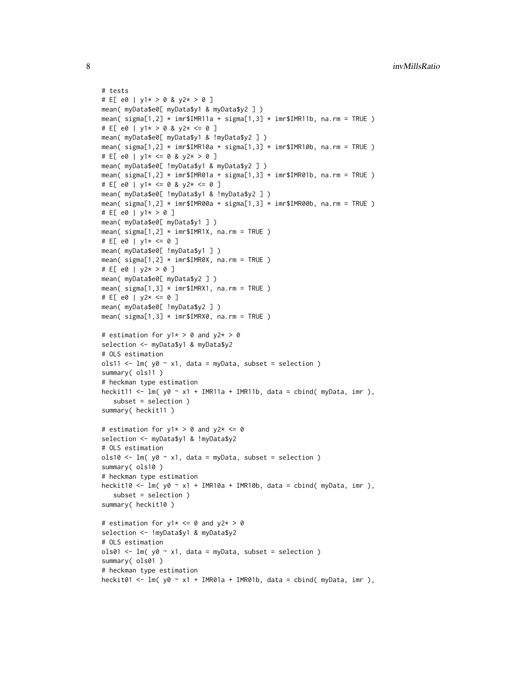```
# tests
# E[ e0 | y1* > 0 & y2* > 0 ]
mean( myData$e0[ myData$y1 & myData$y2 ] )
mean( signa[1,2] * imr$IMR11a + signa[1,3] * imr$IMR11b, na.rm = TRUE)
# E[ e0 | y1* > 0 & y2* <= 0 ]
mean( myData$e0[ myData$y1 & !myData$y2 ] )
mean( signa[1,2] * imr$IMR10a + signa[1,3] * imr$IMR10b, na.rm = TRUE)
# E[ e0 | y1* <= 0 & y2* > 0 ]
mean( myData$e0[ !myData$y1 & myData$y2 ] )
mean( signa[1,2] * imr$IMR@1a + signa[1,3] * imr$IMR@1b, na.rm = TRUE )# E[ e0 | y1* <= 0 & y2* <= 0 ]
mean( myData$e0[ !myData$y1 & !myData$y2 ] )
mean( sigma[1,2] * imr$IMR00a + sigma[1,3] * imr$IMR00b, na.rm = TRUE )
# E[ e0 | y1* > 0 ]mean( myData$e0[ myData$y1 ] )
mean( signa[1,2] \times imr$IMR1X, na.rm = TRUE )
# E[ e0 | y1* <= 0 ]
mean( myData$e0[ !myData$y1 ] )
mean( sigma[1,2] * imr$IMR0X, na.rm = TRUE )
# E[ e0 | y2* > 0 ]
mean( myData$e0[ myData$y2 ] )
mean( signa[1,3] \times imr$IMRX1, na.rm = TRUE )
# E[ e0 | y2* <= 0 ]
mean( myData$e0[ !myData$y2 ] )
mean( sigma[1,3] * imr$IMRX0, na.rm = TRUE )
# estimation for y1* > 0 and y2* > 0selection <- myData$y1 & myData$y2
# OLS estimation
ols11 <- lm( y0 ~ x1, data = myData, subset = selection )summary( ols11 )
# heckman type estimation
heckit11 <- lm( y0 ~ x1 ~ + IMR11a + IMR11b, data = cbind( myData, imr),
   subset = selection )
summary( heckit11 )
# estimation for y1* > 0 and y2* <= 0selection <- myData$y1 & !myData$y2
# OLS estimation
ols10 \le - lm( y0 \sim x1, data = myData, subset = selection )
summary( ols10 )
# heckman type estimation
heckit10 <- lm( y0 ~ x1 ~ + ~ IMR10a ~ + ~ IMR10b, data = chind( myData, imr ),subset = selection )
summary( heckit10 )
# estimation for y1* \leq 0 and y2* > 0selection <- !myData$y1 & myData$y2
# OLS estimation
ols01 <- lm( y0 ~ x1, data = myData, subset = selection )summary( ols01 )
# heckman type estimation
heckit01 <- lm( y0 ~ x1 ~ + ~ IMR01a ~ + ~ IMR01b, data = chind( myData, imr),
```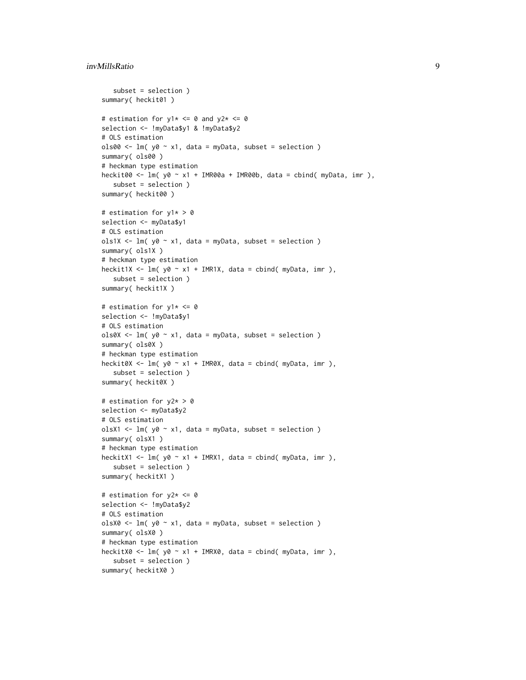# invMillsRatio 9

```
subset = selection )
summary( heckit01)
# estimation for y1* \le 0 and y2* \le 0selection <- !myData$y1 & !myData$y2
# OLS estimation
ols00 \le lm( y0 \sim x1, data = myData, subset = selection )
summary( ols00 )
# heckman type estimation
heckit00 <- lm( y0 ~ x1 ~ + ~ IMR00a ~ + ~ IMR00b, data = chind( myData, imr),subset = selection )
summary( heckit00 )
# estimation for y1* > 0
selection <- myData$y1
# OLS estimation
ols1X <- lm( y0 ~ x1, data = myData, subset = selection )summary( ols1X )
# heckman type estimation
heckit1X <- lm( y0 ~ x1 ~ + ~ IMR1X, data = chind( myData, imr),subset = selection )
summary( heckit1X )
# estimation for y1* <= 0
selection <- !myData$y1
# OLS estimation
ols0X <- lm(y0 \sim x1, data = myData, subset = selection )
summary( ols0X )
# heckman type estimation
heckit0X <- lm( y0 ~ x1 + IMR0X, data = cbind( myData, imr ),
  subset = selection )
summary( heckit0X )
# estimation for y2* > 0
selection <- myData$y2
# OLS estimation
olsX1 \leq lm( y0 \sim x1, data = myData, subset = selection )
summary( olsX1 )
# heckman type estimation
heckitX1 <- lm(y0 \sim x1 + IMRX1, data = cbind(myData, imr),subset = selection )
summary( heckitX1 )
# estimation for y2* <= 0
selection <- !myData$y2
# OLS estimation
olsX0 <- lm(y0 \sim x1, data = myData, subset = selection )
summary( olsX0 )
# heckman type estimation
heckitX0 <- lm( y0 ~ x1 ~ + ~ IMRX0, data = chind( myData, imr),subset = selection )
summary( heckitX0 )
```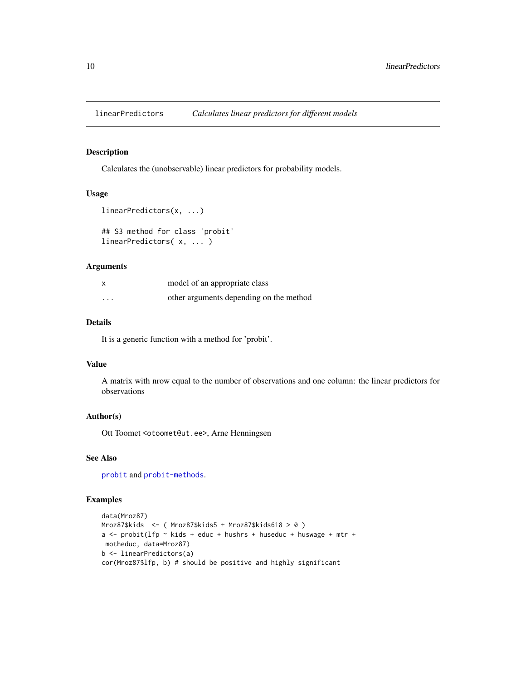<span id="page-9-0"></span>linearPredictors *Calculates linear predictors for different models*

# <span id="page-9-1"></span>Description

Calculates the (unobservable) linear predictors for probability models.

# Usage

```
linearPredictors(x, ...)
```

```
## S3 method for class 'probit'
linearPredictors( x, ... )
```
# Arguments

| x        | model of an appropriate class           |
|----------|-----------------------------------------|
| $\cdots$ | other arguments depending on the method |

# Details

It is a generic function with a method for 'probit'.

# Value

A matrix with nrow equal to the number of observations and one column: the linear predictors for observations

# Author(s)

Ott Toomet <otoomet@ut.ee>, Arne Henningsen

# See Also

[probit](#page-18-1) and [probit-methods](#page-21-2).

```
data(Mroz87)
Mroz87$kids <- ( Mroz87$kids5 + Mroz87$kids618 > 0 )
a \le - probit(lfp \sim kids + educ + hushrs + huseduc + huswage + mtr +
motheduc, data=Mroz87)
b <- linearPredictors(a)
cor(Mroz87$lfp, b) # should be positive and highly significant
```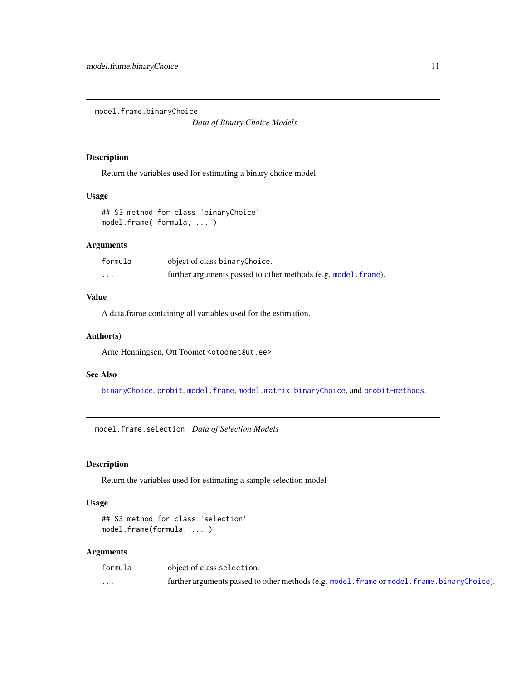<span id="page-10-1"></span><span id="page-10-0"></span>model.frame.binaryChoice

*Data of Binary Choice Models*

# Description

Return the variables used for estimating a binary choice model

# Usage

## S3 method for class 'binaryChoice' model.frame( formula, ... )

# Arguments

| formula              | object of class binaryChoice.                                  |
|----------------------|----------------------------------------------------------------|
| $\ddot{\phantom{0}}$ | further arguments passed to other methods (e.g. model. frame). |

# Value

A data.frame containing all variables used for the estimation.

# Author(s)

Arne Henningsen, Ott Toomet <otoomet@ut.ee>

# See Also

[binaryChoice](#page-18-2), [probit](#page-18-1), [model.frame](#page-0-0), [model.matrix.binaryChoice](#page-11-1), and [probit-methods](#page-21-2).

<span id="page-10-2"></span>model.frame.selection *Data of Selection Models*

# Description

Return the variables used for estimating a sample selection model

#### Usage

```
## S3 method for class 'selection'
model.frame(formula, ... )
```
# Arguments

| formula  | object of class selection.                                                                   |
|----------|----------------------------------------------------------------------------------------------|
| $\cdots$ | further arguments passed to other methods (e.g. model. frame or model. frame. binaryChoice). |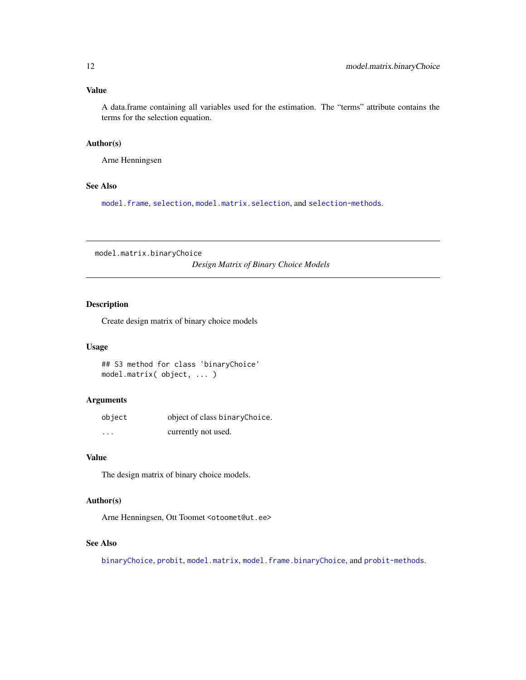# <span id="page-11-0"></span>Value

A data.frame containing all variables used for the estimation. The "terms" attribute contains the terms for the selection equation.

# Author(s)

Arne Henningsen

# See Also

[model.frame](#page-0-0), [selection](#page-27-1), [model.matrix.selection](#page-12-1), and [selection-methods](#page-33-1).

<span id="page-11-1"></span>model.matrix.binaryChoice

*Design Matrix of Binary Choice Models*

# Description

Create design matrix of binary choice models

#### Usage

## S3 method for class 'binaryChoice' model.matrix( object, ... )

# Arguments

| object               | object of class binaryChoice. |
|----------------------|-------------------------------|
| $\ddot{\phantom{0}}$ | currently not used.           |

# Value

The design matrix of binary choice models.

# Author(s)

Arne Henningsen, Ott Toomet <otoomet@ut.ee>

# See Also

[binaryChoice](#page-18-2), [probit](#page-18-1), [model.matrix](#page-0-0), [model.frame.binaryChoice](#page-10-1), and [probit-methods](#page-21-2).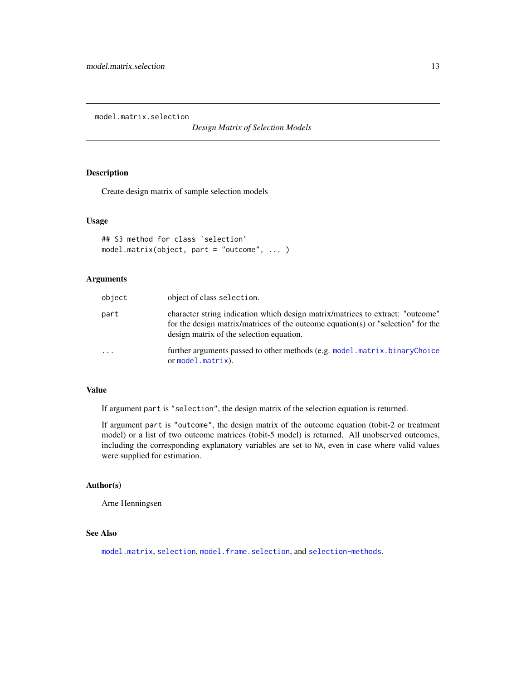<span id="page-12-1"></span><span id="page-12-0"></span>model.matrix.selection

*Design Matrix of Selection Models*

# Description

Create design matrix of sample selection models

#### Usage

```
## S3 method for class 'selection'
model.matrix(object, part = "outcome", ... )
```
# Arguments

| object | object of class selection.                                                                                                                                                                                     |
|--------|----------------------------------------------------------------------------------------------------------------------------------------------------------------------------------------------------------------|
| part   | character string indication which design matrix/matrices to extract: "outcome"<br>for the design matrix/matrices of the outcome equation(s) or "selection" for the<br>design matrix of the selection equation. |
| .      | further arguments passed to other methods (e.g. model matrix binaryChoice<br>or model.matrix).                                                                                                                 |

# Value

If argument part is "selection", the design matrix of the selection equation is returned.

If argument part is "outcome", the design matrix of the outcome equation (tobit-2 or treatment model) or a list of two outcome matrices (tobit-5 model) is returned. All unobserved outcomes, including the corresponding explanatory variables are set to NA, even in case where valid values were supplied for estimation.

#### Author(s)

Arne Henningsen

# See Also

[model.matrix](#page-0-0), [selection](#page-27-1), [model.frame.selection](#page-10-2), and [selection-methods](#page-33-1).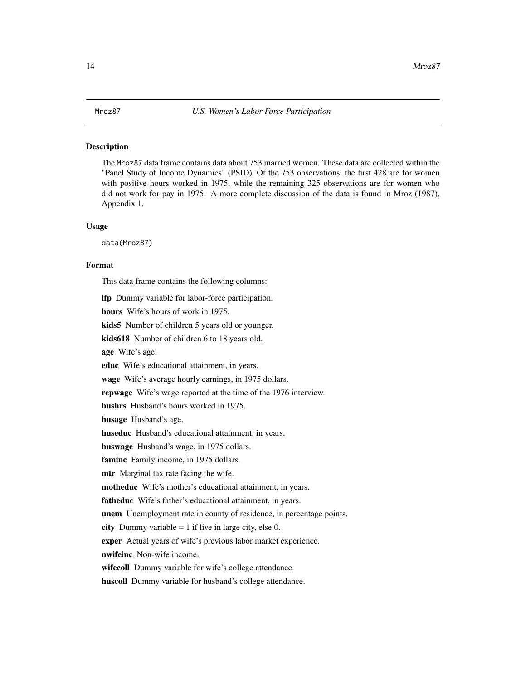<span id="page-13-1"></span><span id="page-13-0"></span>The Mroz87 data frame contains data about 753 married women. These data are collected within the "Panel Study of Income Dynamics" (PSID). Of the 753 observations, the first 428 are for women with positive hours worked in 1975, while the remaining 325 observations are for women who did not work for pay in 1975. A more complete discussion of the data is found in Mroz (1987), Appendix 1.

#### Usage

data(Mroz87)

#### Format

This data frame contains the following columns:

lfp Dummy variable for labor-force participation.

hours Wife's hours of work in 1975.

kids5 Number of children 5 years old or younger.

kids618 Number of children 6 to 18 years old.

age Wife's age.

educ Wife's educational attainment, in years.

wage Wife's average hourly earnings, in 1975 dollars.

repwage Wife's wage reported at the time of the 1976 interview.

hushrs Husband's hours worked in 1975.

husage Husband's age.

huseduc Husband's educational attainment, in years.

huswage Husband's wage, in 1975 dollars.

faminc Family income, in 1975 dollars.

mtr Marginal tax rate facing the wife.

motheduc Wife's mother's educational attainment, in years.

fatheduc Wife's father's educational attainment, in years.

unem Unemployment rate in county of residence, in percentage points.

city Dummy variable  $= 1$  if live in large city, else 0.

exper Actual years of wife's previous labor market experience.

nwifeinc Non-wife income.

wifecoll Dummy variable for wife's college attendance.

huscoll Dummy variable for husband's college attendance.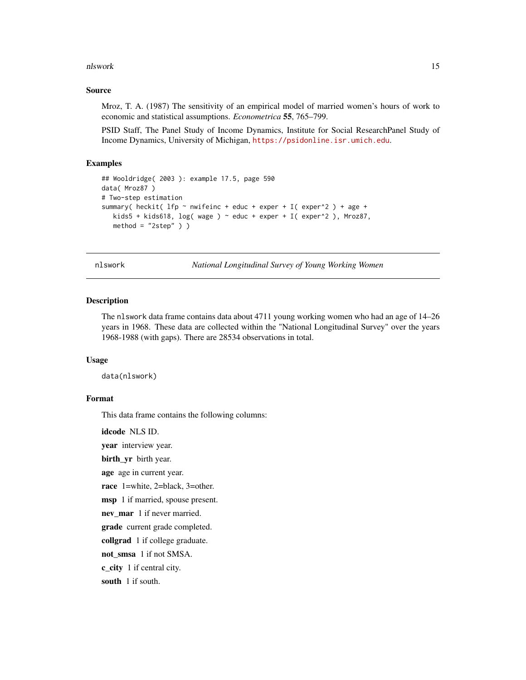#### <span id="page-14-0"></span>nlswork and the contract of the contract of the contract of the contract of the contract of the contract of the contract of the contract of the contract of the contract of the contract of the contract of the contract of th

# Source

Mroz, T. A. (1987) The sensitivity of an empirical model of married women's hours of work to economic and statistical assumptions. *Econometrica* 55, 765–799.

PSID Staff, The Panel Study of Income Dynamics, Institute for Social ResearchPanel Study of Income Dynamics, University of Michigan, <https://psidonline.isr.umich.edu>.

# Examples

```
## Wooldridge( 2003 ): example 17.5, page 590
data( Mroz87 )
# Two-step estimation
summary( heckit( lfp ~ nwifeinc + educ + exper + I( exper^2 ) + age +
  kids5 + kids618, log( wage ) ~ educ + exper + I( exper^2 ), Mroz87,
  method = "2step" )
```
nlswork *National Longitudinal Survey of Young Working Women*

#### Description

The nlswork data frame contains data about 4711 young working women who had an age of 14–26 years in 1968. These data are collected within the "National Longitudinal Survey" over the years 1968-1988 (with gaps). There are 28534 observations in total.

### Usage

data(nlswork)

#### Format

This data frame contains the following columns:

idcode NLS ID.

year interview year.

birth\_yr birth year.

age age in current year.

race 1=white, 2=black, 3=other.

msp 1 if married, spouse present.

nev\_mar 1 if never married.

grade current grade completed.

collgrad 1 if college graduate.

not\_smsa 1 if not SMSA.

c\_city 1 if central city.

south 1 if south.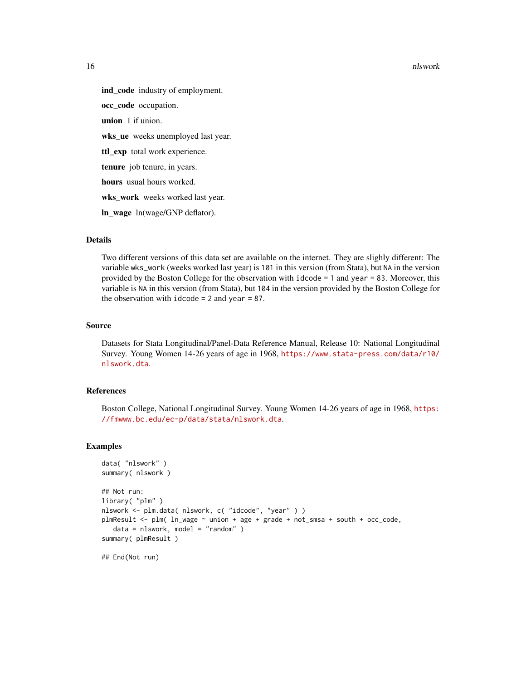#### 16 nlswork and the state of the state of the state of the state of the state of the state of the state of the state of the state of the state of the state of the state of the state of the state of the state of the state of

ind\_code industry of employment. occ\_code occupation. union 1 if union. wks\_ue weeks unemployed last year. ttl\_exp total work experience. tenure job tenure, in years. hours usual hours worked. wks\_work weeks worked last year. ln\_wage ln(wage/GNP deflator).

# Details

Two different versions of this data set are available on the internet. They are slighly different: The variable wks\_work (weeks worked last year) is 101 in this version (from Stata), but NA in the version provided by the Boston College for the observation with idcode = 1 and year = 83. Moreover, this variable is NA in this version (from Stata), but 104 in the version provided by the Boston College for the observation with  $i$  dcode = 2 and year = 87.

#### Source

Datasets for Stata Longitudinal/Panel-Data Reference Manual, Release 10: National Longitudinal Survey. Young Women 14-26 years of age in 1968, [https://www.stata-press.com/data/r10/](https://www.stata-press.com/data/r10/nlswork.dta) [nlswork.dta](https://www.stata-press.com/data/r10/nlswork.dta).

# References

Boston College, National Longitudinal Survey. Young Women 14-26 years of age in 1968, [https:](https://fmwww.bc.edu/ec-p/data/stata/nlswork.dta) [//fmwww.bc.edu/ec-p/data/stata/nlswork.dta](https://fmwww.bc.edu/ec-p/data/stata/nlswork.dta).

# Examples

```
data( "nlswork" )
summary( nlswork )
## Not run:
library( "plm" )
nlswork <- plm.data( nlswork, c( "idcode", "year" ) )
plmResult <- plm( ln_wage ~ union + age + grade + not_smsa + south + occ_code,
   data = nlswork, model = "random" )
summary( plmResult )
```
## End(Not run)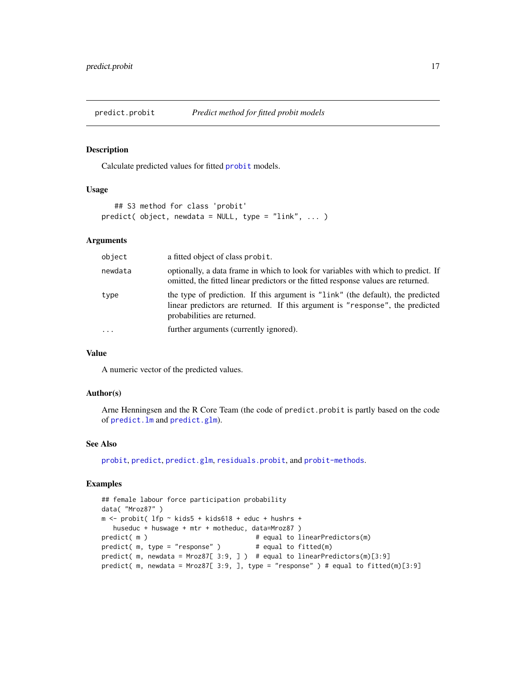<span id="page-16-1"></span><span id="page-16-0"></span>

Calculate predicted values for fitted [probit](#page-18-1) models.

# Usage

```
## S3 method for class 'probit'
predict( object, newdata = NULL, type = "link", ... )
```
# Arguments

| object   | a fitted object of class probit.                                                                                                                                                                |  |
|----------|-------------------------------------------------------------------------------------------------------------------------------------------------------------------------------------------------|--|
| newdata  | optionally, a data frame in which to look for variables with which to predict. If<br>omitted, the fitted linear predictors or the fitted response values are returned.                          |  |
| type     | the type of prediction. If this argument is "link" (the default), the predicted<br>linear predictors are returned. If this argument is "response", the predicted<br>probabilities are returned. |  |
| $\cdots$ | further arguments (currently ignored).                                                                                                                                                          |  |

# Value

A numeric vector of the predicted values.

# Author(s)

Arne Henningsen and the R Core Team (the code of predict.probit is partly based on the code of [predict.lm](#page-0-0) and [predict.glm](#page-0-0)).

# See Also

[probit](#page-18-1), [predict](#page-0-0), [predict.glm](#page-0-0), [residuals.probit](#page-25-1), and [probit-methods](#page-21-2).

```
## female labour force participation probability
data( "Mroz87" )
m <- probit( lfp ~ kids5 + kids618 + educ + hushrs +
  huseduc + huswage + mtr + motheduc, data=Mroz87 )
predict( m ) \qquad # equal to linearPredictors(m)
predict( m, type = "response" ) \qquad # equal to fitted(m)
predict( m, newdata = Mroz87[ 3:9, ] ) # equal to linearPredictors(m)[3:9]
predict( m, newdata = Mroz87[ 3:9, ], type = "response" ) # equal to fitted(m)[3:9]
```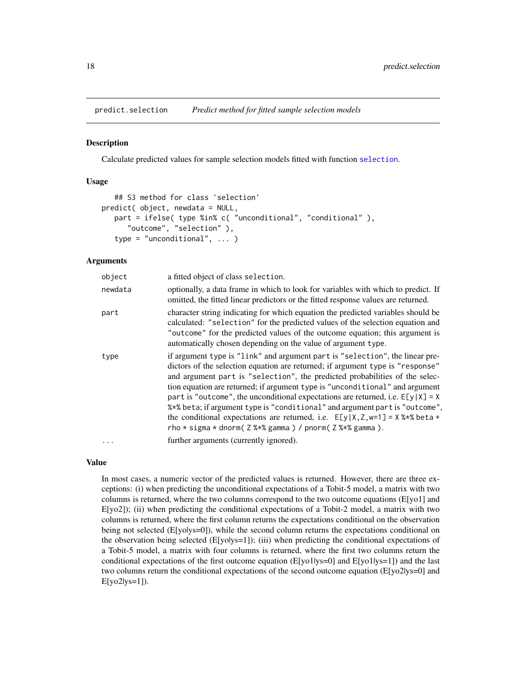<span id="page-17-1"></span><span id="page-17-0"></span>

Calculate predicted values for sample selection models fitted with function [selection](#page-27-1).

# Usage

```
## S3 method for class 'selection'
predict( object, newdata = NULL,
   part = ifelse( type %in% c( "unconditional", "conditional" ),
      "outcome", "selection" ),
   type = "unconditional", ... )
```
# Arguments

| object   | a fitted object of class selection.                                                                                                                                                                                                                                                                                                                                                                                                                                                                                                                                                                                                                          |
|----------|--------------------------------------------------------------------------------------------------------------------------------------------------------------------------------------------------------------------------------------------------------------------------------------------------------------------------------------------------------------------------------------------------------------------------------------------------------------------------------------------------------------------------------------------------------------------------------------------------------------------------------------------------------------|
| newdata  | optionally, a data frame in which to look for variables with which to predict. If<br>omitted, the fitted linear predictors or the fitted response values are returned.                                                                                                                                                                                                                                                                                                                                                                                                                                                                                       |
| part     | character string indicating for which equation the predicted variables should be<br>calculated: "selection" for the predicted values of the selection equation and<br>"outcome" for the predicted values of the outcome equation; this argument is<br>automatically chosen depending on the value of argument type.                                                                                                                                                                                                                                                                                                                                          |
| type     | if argument type is "link" and argument part is "selection", the linear pre-<br>dictors of the selection equation are returned; if argument type is "response"<br>and argument part is "selection", the predicted probabilities of the selec-<br>tion equation are returned; if argument type is "unconditional" and argument<br>part is "outcome", the unconditional expectations are returned, i.e. $E[y X] = X$<br>%*% beta; if argument type is "conditional" and argument part is "outcome",<br>the conditional expectations are returned, i.e. $E[y X,Z,w=1] = X$ % beta +<br>rho $*$ sigma $*$ dnorm( $Z$ % $*$ % gamma) / pnorm( $Z$ % $*$ % gamma). |
| $\cdots$ | further arguments (currently ignored).                                                                                                                                                                                                                                                                                                                                                                                                                                                                                                                                                                                                                       |

# Value

In most cases, a numeric vector of the predicted values is returned. However, there are three exceptions: (i) when predicting the unconditional expectations of a Tobit-5 model, a matrix with two columns is returned, where the two columns correspond to the two outcome equations (E[yo1] and  $E[yo2]$ ; (ii) when predicting the conditional expectations of a Tobit-2 model, a matrix with two columns is returned, where the first column returns the expectations conditional on the observation being not selected ( $E[yolys=0]$ ), while the second column returns the expectations conditional on the observation being selected  $(E[yolys=1])$ ; (iii) when predicting the conditional expectations of a Tobit-5 model, a matrix with four columns is returned, where the first two columns return the conditional expectations of the first outcome equation (E[yo1|ys=0] and E[yo1|ys=1]) and the last two columns return the conditional expectations of the second outcome equation (E[yo2|ys=0] and E[yo2|ys=1]).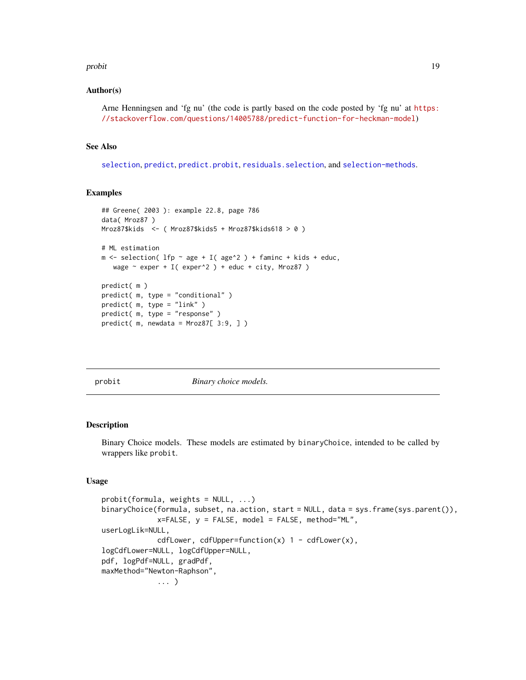#### <span id="page-18-0"></span>probit that the contract of the contract of the contract of the contract of the contract of the contract of the contract of the contract of the contract of the contract of the contract of the contract of the contract of th

# Author(s)

Arne Henningsen and 'fg nu' (the code is partly based on the code posted by 'fg nu' at [https:](https://stackoverflow.com/questions/14005788/predict-function-for-heckman-model) [//stackoverflow.com/questions/14005788/predict-function-for-heckman-model](https://stackoverflow.com/questions/14005788/predict-function-for-heckman-model))

# See Also

[selection](#page-27-1), [predict](#page-0-0), [predict.probit](#page-16-1), [residuals.selection](#page-26-1), and [selection-methods](#page-33-1).

# Examples

```
## Greene( 2003 ): example 22.8, page 786
data( Mroz87 )
Mroz87$kids <- ( Mroz87$kids5 + Mroz87$kids618 > 0 )
# ML estimation
m <- selection( lfp \sim age + I( age^2 ) + faminc + kids + educ,
   wage \sim exper + I( exper^2 ) + educ + city, Mroz87 )
predict( m )
predict( m, type = "conditional" )
predict( m, type = "link" )
predict( m, type = "response" )
predict( m, newdata = Mroz87[ 3:9, ])
```
<span id="page-18-1"></span>probit *Binary choice models.*

# <span id="page-18-2"></span>Description

Binary Choice models. These models are estimated by binaryChoice, intended to be called by wrappers like probit.

# Usage

```
probit(formula, weights = NULL, ...)binaryChoice(formula, subset, na.action, start = NULL, data = sys.frame(sys.parent()),
             x=FALSE, y = FALSE, model = FALSE, method="ML",
userLogLik=NULL,
             cdfLower, cdfUpper=function(x) 1 - \text{cdfLower}(x),
logCdfLower=NULL, logCdfUpper=NULL,
pdf, logPdf=NULL, gradPdf,
maxMethod="Newton-Raphson",
             ... )
```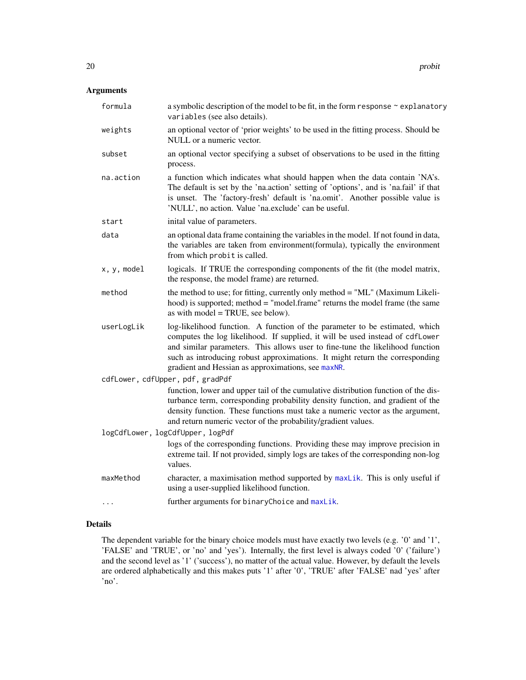# <span id="page-19-0"></span>Arguments

| formula     | a symbolic description of the model to be fit, in the form response ~ explanatory<br>variables (see also details).                                                                                                                                                                                                                                                                  |
|-------------|-------------------------------------------------------------------------------------------------------------------------------------------------------------------------------------------------------------------------------------------------------------------------------------------------------------------------------------------------------------------------------------|
| weights     | an optional vector of 'prior weights' to be used in the fitting process. Should be<br>NULL or a numeric vector.                                                                                                                                                                                                                                                                     |
| subset      | an optional vector specifying a subset of observations to be used in the fitting<br>process.                                                                                                                                                                                                                                                                                        |
| na.action   | a function which indicates what should happen when the data contain 'NA's.<br>The default is set by the 'na.action' setting of 'options', and is 'na.fail' if that<br>is unset. The 'factory-fresh' default is 'na.omit'. Another possible value is<br>'NULL', no action. Value 'na.exclude' can be useful.                                                                         |
| start       | inital value of parameters.                                                                                                                                                                                                                                                                                                                                                         |
| data        | an optional data frame containing the variables in the model. If not found in data,<br>the variables are taken from environment(formula), typically the environment<br>from which probit is called.                                                                                                                                                                                 |
| x, y, model | logicals. If TRUE the corresponding components of the fit (the model matrix,<br>the response, the model frame) are returned.                                                                                                                                                                                                                                                        |
| method      | the method to use; for fitting, currently only method = "ML" (Maximum Likeli-<br>hood) is supported; method = "model.frame" returns the model frame (the same<br>as with model = TRUE, see below).                                                                                                                                                                                  |
| userLogLik  | log-likelihood function. A function of the parameter to be estimated, which<br>computes the log likelihood. If supplied, it will be used instead of cdfLower<br>and similar parameters. This allows user to fine-tune the likelihood function<br>such as introducing robust approximations. It might return the corresponding<br>gradient and Hessian as approximations, see maxNR. |
|             | cdfLower, cdfUpper, pdf, gradPdf                                                                                                                                                                                                                                                                                                                                                    |
|             | function, lower and upper tail of the cumulative distribution function of the dis-<br>turbance term, corresponding probability density function, and gradient of the<br>density function. These functions must take a numeric vector as the argument,<br>and return numeric vector of the probability/gradient values.                                                              |
|             | logCdfLower, logCdfUpper, logPdf                                                                                                                                                                                                                                                                                                                                                    |
|             | logs of the corresponding functions. Providing these may improve precision in<br>extreme tail. If not provided, simply logs are takes of the corresponding non-log<br>values.                                                                                                                                                                                                       |
| maxMethod   | character, a maximisation method supported by maxLik. This is only useful if<br>using a user-supplied likelihood function.                                                                                                                                                                                                                                                          |
| .           | further arguments for binaryChoice and maxLik.                                                                                                                                                                                                                                                                                                                                      |
|             |                                                                                                                                                                                                                                                                                                                                                                                     |

# Details

The dependent variable for the binary choice models must have exactly two levels (e.g. '0' and '1', 'FALSE' and 'TRUE', or 'no' and 'yes'). Internally, the first level is always coded '0' ('failure') and the second level as '1' ('success'), no matter of the actual value. However, by default the levels are ordered alphabetically and this makes puts '1' after '0', 'TRUE' after 'FALSE' nad 'yes' after 'no'.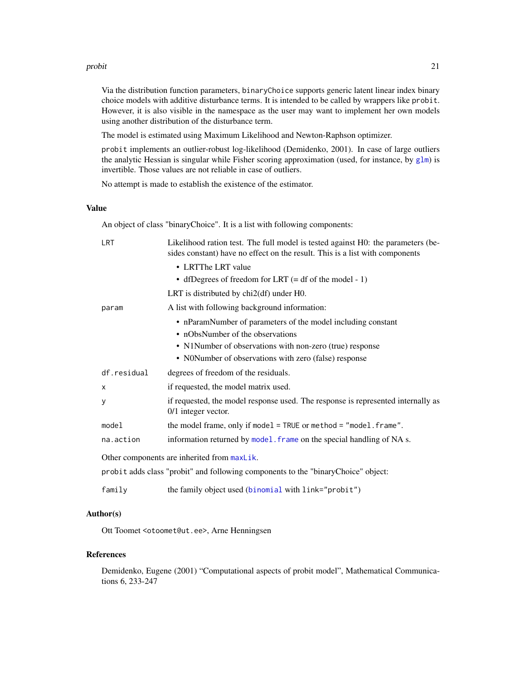#### <span id="page-20-0"></span>probit 21

Via the distribution function parameters, binaryChoice supports generic latent linear index binary choice models with additive disturbance terms. It is intended to be called by wrappers like probit. However, it is also visible in the namespace as the user may want to implement her own models using another distribution of the disturbance term.

The model is estimated using Maximum Likelihood and Newton-Raphson optimizer.

probit implements an outlier-robust log-likelihood (Demidenko, 2001). In case of large outliers the analytic Hessian is singular while Fisher scoring approximation (used, for instance, by  $g1m$ ) is invertible. Those values are not reliable in case of outliers.

No attempt is made to establish the existence of the estimator.

# Value

An object of class "binaryChoice". It is a list with following components:

| LRT                                         | Likelihood ration test. The full model is tested against H0: the parameters (be-<br>sides constant) have no effect on the result. This is a list with components |  |
|---------------------------------------------|------------------------------------------------------------------------------------------------------------------------------------------------------------------|--|
|                                             | • LRTThe LRT value                                                                                                                                               |  |
|                                             | • dfDegrees of freedom for LRT $(= df of the model - 1)$                                                                                                         |  |
|                                             | LRT is distributed by $chi2(df)$ under $H0$ .                                                                                                                    |  |
| param                                       | A list with following background information:                                                                                                                    |  |
|                                             | • nParamNumber of parameters of the model including constant                                                                                                     |  |
|                                             | • nObsNumber of the observations                                                                                                                                 |  |
|                                             | • N1Number of observations with non-zero (true) response                                                                                                         |  |
|                                             | • N0Number of observations with zero (false) response                                                                                                            |  |
| df.residual                                 | degrees of freedom of the residuals.                                                                                                                             |  |
| X                                           | if requested, the model matrix used.                                                                                                                             |  |
| y                                           | if requested, the model response used. The response is represented internally as<br>$0/1$ integer vector.                                                        |  |
| model                                       | the model frame, only if model = TRUE or method = $"model$ . frame".                                                                                             |  |
| na.action                                   | information returned by model. frame on the special handling of NA s.                                                                                            |  |
| Other components are inherited from maxLik. |                                                                                                                                                                  |  |
|                                             | probit adds class "probit" and following components to the "binaryChoice" object:                                                                                |  |
| family                                      | the family object used (binomial with link="probit")                                                                                                             |  |

# Author(s)

Ott Toomet <otoomet@ut.ee>, Arne Henningsen

#### References

Demidenko, Eugene (2001) "Computational aspects of probit model", Mathematical Communications 6, 233-247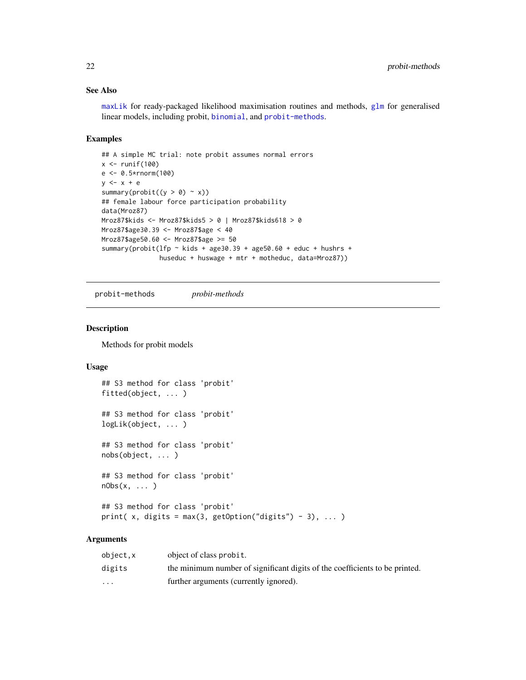# <span id="page-21-0"></span>See Also

[maxLik](#page-0-0) for ready-packaged likelihood maximisation routines and methods, [glm](#page-0-0) for generalised linear models, including probit, [binomial](#page-0-0), and [probit-methods](#page-21-2).

#### Examples

```
## A simple MC trial: note probit assumes normal errors
x \leftarrow runif(100)e <- 0.5*rnorm(100)
y \leftarrow x + esummary(probit((y > 0) \sim x))
## female labour force participation probability
data(Mroz87)
Mroz87$kids <- Mroz87$kids5 > 0 | Mroz87$kids618 > 0
Mroz87$age30.39 <- Mroz87$age < 40
Mroz87$age50.60 <- Mroz87$age >= 50
summary(probit(lfp \sim kids + age30.39 + age50.60 + educ + hushrs +
                huseduc + huswage + mtr + motheduc, data=Mroz87))
```
<span id="page-21-2"></span>probit-methods *probit-methods*

# <span id="page-21-1"></span>Description

Methods for probit models

# Usage

```
## S3 method for class 'probit'
fitted(object, ... )
## S3 method for class 'probit'
logLik(object, ... )
## S3 method for class 'probit'
nobs(object, ... )
## S3 method for class 'probit'
nObs(x, ... )
## S3 method for class 'probit'
print( x, digits = max(3, getOption("digits") - 3), \dots)
```
# Arguments

| object.x                | object of class probit.                                                     |
|-------------------------|-----------------------------------------------------------------------------|
| digits                  | the minimum number of significant digits of the coefficients to be printed. |
| $\cdot$ $\cdot$ $\cdot$ | further arguments (currently ignored).                                      |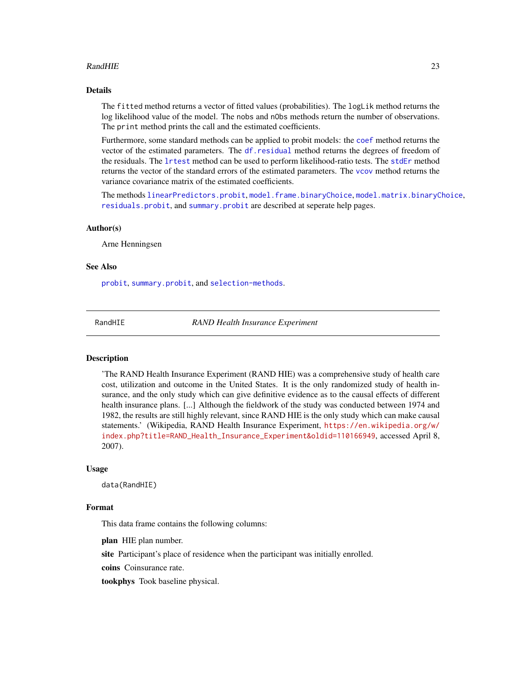# <span id="page-22-0"></span>RandHIE 23

# Details

The fitted method returns a vector of fitted values (probabilities). The logLik method returns the log likelihood value of the model. The nobs and nObs methods return the number of observations. The print method prints the call and the estimated coefficients.

Furthermore, some standard methods can be applied to probit models: the [coef](#page-0-0) method returns the vector of the estimated parameters. The [df.residual](#page-0-0) method returns the degrees of freedom of the residuals. The [lrtest](#page-0-0) method can be used to perform likelihood-ratio tests. The [stdEr](#page-0-0) method returns the vector of the standard errors of the estimated parameters. The [vcov](#page-0-0) method returns the variance covariance matrix of the estimated coefficients.

The methods [linearPredictors.probit](#page-9-1), [model.frame.binaryChoice](#page-10-1), [model.matrix.binaryChoice](#page-11-1), [residuals.probit](#page-25-1), and [summary.probit](#page-36-1) are described at seperate help pages.

#### Author(s)

Arne Henningsen

#### See Also

[probit](#page-18-1), [summary.probit](#page-36-1), and [selection-methods](#page-33-1).

<span id="page-22-1"></span>

RandHIE *RAND Health Insurance Experiment*

#### Description

'The RAND Health Insurance Experiment (RAND HIE) was a comprehensive study of health care cost, utilization and outcome in the United States. It is the only randomized study of health insurance, and the only study which can give definitive evidence as to the causal effects of different health insurance plans. [...] Although the fieldwork of the study was conducted between 1974 and 1982, the results are still highly relevant, since RAND HIE is the only study which can make causal statements.' (Wikipedia, RAND Health Insurance Experiment, [https://en.wikipedia.org/w/](https://en.wikipedia.org/w/index.php?title=RAND_Health_Insurance_Experiment&oldid=110166949) [index.php?title=RAND\\_Health\\_Insurance\\_Experiment&oldid=110166949](https://en.wikipedia.org/w/index.php?title=RAND_Health_Insurance_Experiment&oldid=110166949), accessed April 8, 2007).

#### Usage

data(RandHIE)

#### Format

This data frame contains the following columns:

plan HIE plan number.

site Participant's place of residence when the participant was initially enrolled.

coins Coinsurance rate.

tookphys Took baseline physical.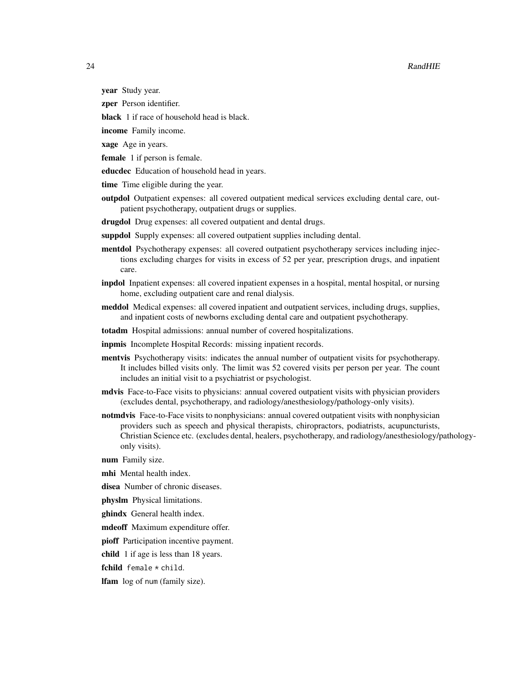# 24 RandHIE

- year Study year.
- zper Person identifier.
- black 1 if race of household head is black.
- income Family income.
- xage Age in years.
- female 1 if person is female.
- educdec Education of household head in years.
- time Time eligible during the year.
- outpdol Outpatient expenses: all covered outpatient medical services excluding dental care, outpatient psychotherapy, outpatient drugs or supplies.
- drugdol Drug expenses: all covered outpatient and dental drugs.
- suppdol Supply expenses: all covered outpatient supplies including dental.
- mentdol Psychotherapy expenses: all covered outpatient psychotherapy services including injections excluding charges for visits in excess of 52 per year, prescription drugs, and inpatient care.
- inpdol Inpatient expenses: all covered inpatient expenses in a hospital, mental hospital, or nursing home, excluding outpatient care and renal dialysis.
- meddol Medical expenses: all covered inpatient and outpatient services, including drugs, supplies, and inpatient costs of newborns excluding dental care and outpatient psychotherapy.
- totadm Hospital admissions: annual number of covered hospitalizations.
- inpmis Incomplete Hospital Records: missing inpatient records.
- mentvis Psychotherapy visits: indicates the annual number of outpatient visits for psychotherapy. It includes billed visits only. The limit was 52 covered visits per person per year. The count includes an initial visit to a psychiatrist or psychologist.
- mdvis Face-to-Face visits to physicians: annual covered outpatient visits with physician providers (excludes dental, psychotherapy, and radiology/anesthesiology/pathology-only visits).
- notmdvis Face-to-Face visits to nonphysicians: annual covered outpatient visits with nonphysician providers such as speech and physical therapists, chiropractors, podiatrists, acupuncturists, Christian Science etc. (excludes dental, healers, psychotherapy, and radiology/anesthesiology/pathologyonly visits).
- num Family size.
- mhi Mental health index.
- disea Number of chronic diseases.
- physlm Physical limitations.
- ghindx General health index.
- mdeoff Maximum expenditure offer.
- pioff Participation incentive payment.
- child 1 if age is less than 18 years.
- fchild female \* child.

lfam log of num (family size).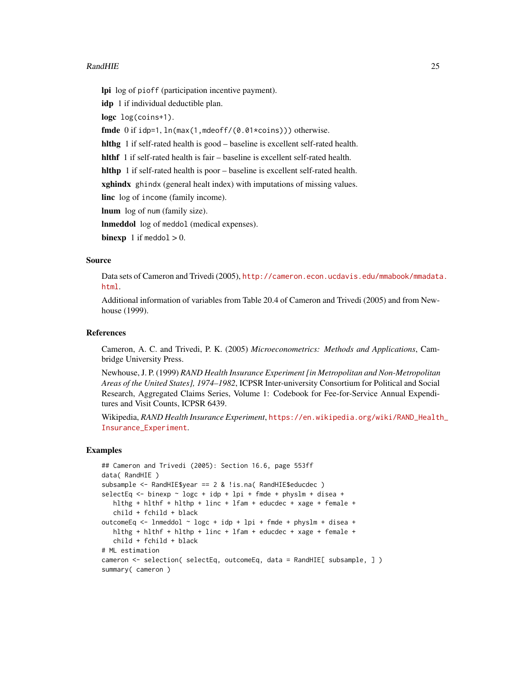# RandHIE 25

lpi log of pioff (participation incentive payment).

idp 1 if individual deductible plan.

logc log(coins+1).

fmde 0 if idp=1, ln(max(1,mdeoff/(0.01\*coins))) otherwise.

hlthg 1 if self-rated health is good – baseline is excellent self-rated health.

hlthf 1 if self-rated health is fair – baseline is excellent self-rated health.

hlthp 1 if self-rated health is poor – baseline is excellent self-rated health.

xghindx ghindx (general healt index) with imputations of missing values.

linc log of income (family income).

lnum log of num (family size).

lnmeddol log of meddol (medical expenses).

**binexp** 1 if meddol  $> 0$ .

# Source

Data sets of Cameron and Trivedi (2005), [http://cameron.econ.ucdavis.edu/mmabook/mmadata](http://cameron.econ.ucdavis.edu/mmabook/mmadata.html). [html](http://cameron.econ.ucdavis.edu/mmabook/mmadata.html).

Additional information of variables from Table 20.4 of Cameron and Trivedi (2005) and from Newhouse (1999).

# References

Cameron, A. C. and Trivedi, P. K. (2005) *Microeconometrics: Methods and Applications*, Cambridge University Press.

Newhouse, J. P. (1999) *RAND Health Insurance Experiment [in Metropolitan and Non-Metropolitan Areas of the United States], 1974–1982*, ICPSR Inter-university Consortium for Political and Social Research, Aggregated Claims Series, Volume 1: Codebook for Fee-for-Service Annual Expenditures and Visit Counts, ICPSR 6439.

Wikipedia, *RAND Health Insurance Experiment*, [https://en.wikipedia.org/wiki/RAND\\_Health](https://en.wikipedia.org/wiki/RAND_Health_Insurance_Experiment)\_ [Insurance\\_Experiment](https://en.wikipedia.org/wiki/RAND_Health_Insurance_Experiment).

```
## Cameron and Trivedi (2005): Section 16.6, page 553ff
data( RandHIE )
subsample <- RandHIE$year == 2 & !is.na( RandHIE$educdec )
selectEq < - binexp \sim logc + idp + lpi + fmde + physlm + disea +hlthg + hlthf + hlthp + linc + lfam + educdec + xage + female +
  child + fchild + black
outcomeEq <- lnmeddol ~ logc + idp + lpi + fmde + physlm + disea +
  hlthg + hlthf + hlthp + linc + lfam + educdec + xage + female +
  child + fchild + black
# ML estimation
cameron <- selection( selectEq, outcomeEq, data = RandHIE[ subsample, ] )
summary( cameron )
```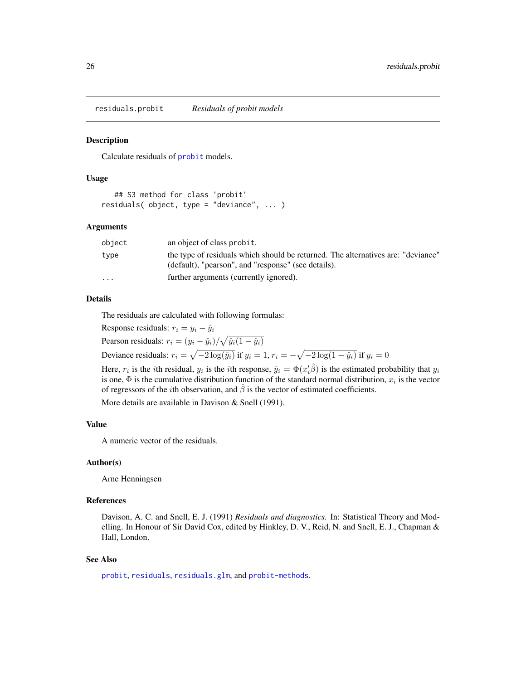<span id="page-25-1"></span><span id="page-25-0"></span>residuals.probit *Residuals of probit models*

# **Description**

Calculate residuals of [probit](#page-18-1) models.

# Usage

```
## S3 method for class 'probit'
residuals( object, type = "deviance", ... )
```
# Arguments

| object                  | an object of class probit.                                                       |
|-------------------------|----------------------------------------------------------------------------------|
| type                    | the type of residuals which should be returned. The alternatives are: "deviance" |
|                         | (default), "pearson", and "response" (see details).                              |
| $\cdot$ $\cdot$ $\cdot$ | further arguments (currently ignored).                                           |
|                         |                                                                                  |

#### Details

The residuals are calculated with following formulas:

Response residuals:  $r_i = y_i - \hat{y}_i$ 

Pearson residuals:  $r_i = (y_i - \hat{y}_i) / \sqrt{\hat{y}_i(1 - \hat{y}_i)}$ 

Deviance residuals:  $r_i = \sqrt{-2 \log(\hat{y}_i)}$  if  $y_i = 1$ ,  $r_i = -\sqrt{-2 \log(1 - \hat{y}_i)}$  if  $y_i = 0$ 

Here,  $r_i$  is the *i*th residual,  $y_i$  is the *i*th response,  $\hat{y}_i = \Phi(x'_i)\hat{\beta}$  is the estimated probability that  $y_i$ is one,  $\Phi$  is the cumulative distribution function of the standard normal distribution,  $x_i$  is the vector of regressors of the *i*th observation, and  $\beta$  is the vector of estimated coefficients.

More details are available in Davison & Snell (1991).

# Value

A numeric vector of the residuals.

#### Author(s)

Arne Henningsen

# References

Davison, A. C. and Snell, E. J. (1991) *Residuals and diagnostics.* In: Statistical Theory and Modelling. In Honour of Sir David Cox, edited by Hinkley, D. V., Reid, N. and Snell, E. J., Chapman & Hall, London.

# See Also

[probit](#page-18-1), [residuals](#page-0-0), [residuals.glm](#page-0-0), and [probit-methods](#page-21-2).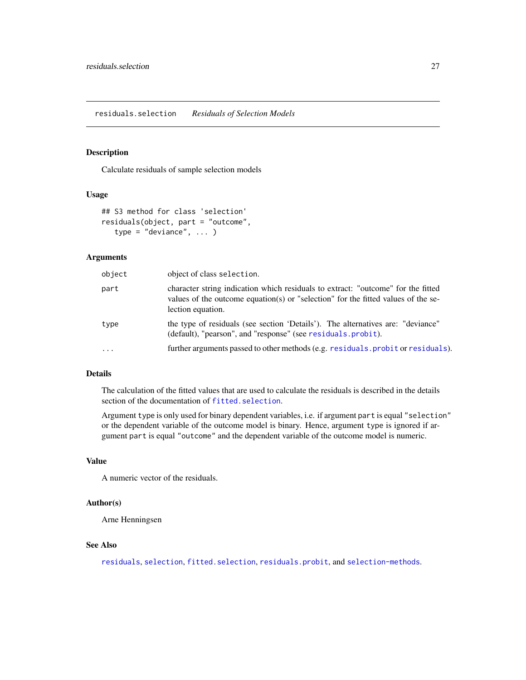<span id="page-26-1"></span><span id="page-26-0"></span>Calculate residuals of sample selection models

# Usage

```
## S3 method for class 'selection'
residuals(object, part = "outcome",
   type = "deviance", \dots)
```
# Arguments

| object   | object of class selection.                                                                                                                                                                 |
|----------|--------------------------------------------------------------------------------------------------------------------------------------------------------------------------------------------|
| part     | character string indication which residuals to extract: "outcome" for the fitted<br>values of the outcome equation(s) or "selection" for the fitted values of the se-<br>lection equation. |
| type     | the type of residuals (see section 'Details'). The alternatives are: "deviance"<br>(default), "pearson", and "response" (see residuals.probit).                                            |
| $\ddots$ | further arguments passed to other methods (e.g. residuals. probit or residuals).                                                                                                           |

# Details

The calculation of the fitted values that are used to calculate the residuals is described in the details section of the documentation of [fitted.selection](#page-3-1).

Argument type is only used for binary dependent variables, i.e. if argument part is equal "selection" or the dependent variable of the outcome model is binary. Hence, argument type is ignored if argument part is equal "outcome" and the dependent variable of the outcome model is numeric.

# Value

A numeric vector of the residuals.

#### Author(s)

Arne Henningsen

# See Also

[residuals](#page-0-0), [selection](#page-27-1), [fitted.selection](#page-3-1), [residuals.probit](#page-25-1), and [selection-methods](#page-33-1).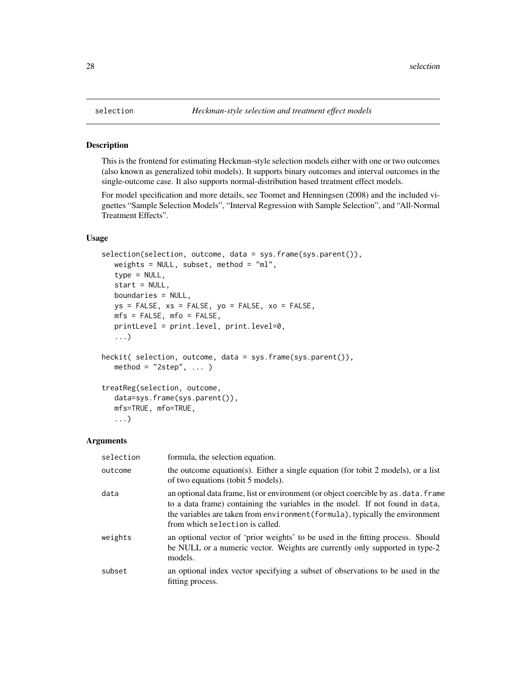<span id="page-27-2"></span><span id="page-27-1"></span><span id="page-27-0"></span>This is the frontend for estimating Heckman-style selection models either with one or two outcomes (also known as generalized tobit models). It supports binary outcomes and interval outcomes in the single-outcome case. It also supports normal-distribution based treatment effect models.

For model specification and more details, see Toomet and Henningsen (2008) and the included vignettes "Sample Selection Models", "Interval Regression with Sample Selection", and "All-Normal Treatment Effects".

# Usage

```
selection(selection, outcome, data = sys.frame(sys.parent()),
   weights = NULL, subset, method = "ml",
   type = NULL,start = NULL,
  boundaries = NULL,
  ys = FALSE, xs = FALSE, yo = FALSE, xo = FALSE,mfs = FALSE, mfo = FALSE,
   printLevel = print.level, print.level=0,
   ...)
heckit( selection, outcome, data = sys.frame(sys.parent()),
   method = "2step", ... )treatReg(selection, outcome,
   data=sys.frame(sys.parent()),
   mfs=TRUE, mfo=TRUE,
   ...)
```
#### Arguments

| selection | formula, the selection equation.                                                                                                                                                                                                                                                          |
|-----------|-------------------------------------------------------------------------------------------------------------------------------------------------------------------------------------------------------------------------------------------------------------------------------------------|
| outcome   | the outcome equation(s). Either a single equation (for tobit 2 models), or a list<br>of two equations (tobit 5 models).                                                                                                                                                                   |
| data      | an optional data frame, list or environment (or object coercible by as . data. frame<br>to a data frame) containing the variables in the model. If not found in data,<br>the variables are taken from environment (formula), typically the environment<br>from which selection is called. |
| weights   | an optional vector of 'prior weights' to be used in the fitting process. Should<br>be NULL or a numeric vector. Weights are currently only supported in type-2<br>models.                                                                                                                 |
| subset    | an optional index vector specifying a subset of observations to be used in the<br>fitting process.                                                                                                                                                                                        |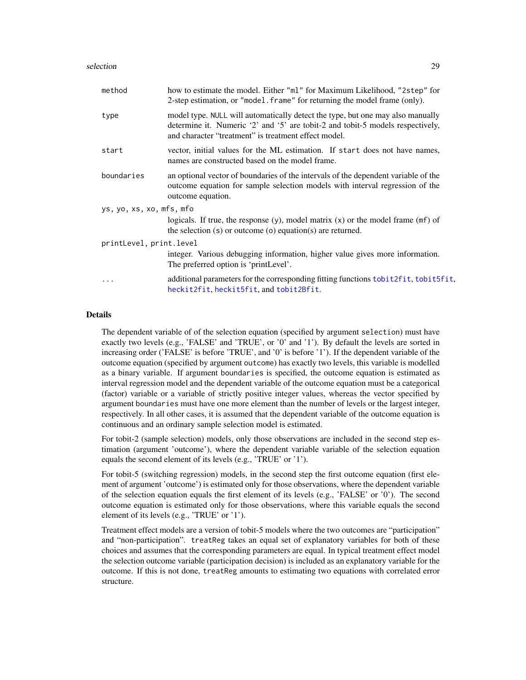<span id="page-28-0"></span>

| method                   | how to estimate the model. Either "ml" for Maximum Likelihood, "2step" for<br>2-step estimation, or "model. frame" for returning the model frame (only).                                                                 |
|--------------------------|--------------------------------------------------------------------------------------------------------------------------------------------------------------------------------------------------------------------------|
| type                     | model type. NULL will automatically detect the type, but one may also manually<br>determine it. Numeric '2' and '5' are tobit-2 and tobit-5 models respectively,<br>and character "treatment" is treatment effect model. |
| start                    | vector, initial values for the ML estimation. If start does not have names,<br>names are constructed based on the model frame.                                                                                           |
| boundaries               | an optional vector of boundaries of the intervals of the dependent variable of the<br>outcome equation for sample selection models with interval regression of the<br>outcome equation.                                  |
| ys, yo, xs, xo, mfs, mfo |                                                                                                                                                                                                                          |
|                          | logicals. If true, the response $(y)$ , model matrix $(x)$ or the model frame $(mf)$ of<br>the selection $(s)$ or outcome $(o)$ equation $(s)$ are returned.                                                             |
| printLevel, print.level  |                                                                                                                                                                                                                          |
|                          | integer. Various debugging information, higher value gives more information.<br>The preferred option is 'printLevel'.                                                                                                    |
| .                        | additional parameters for the corresponding fitting functions to bit2fit, to bit5fit,<br>heckit2fit, heckit5fit, and tobit2Bfit.                                                                                         |

#### Details

The dependent variable of of the selection equation (specified by argument selection) must have exactly two levels (e.g., 'FALSE' and 'TRUE', or '0' and '1'). By default the levels are sorted in increasing order ('FALSE' is before 'TRUE', and '0' is before '1'). If the dependent variable of the outcome equation (specified by argument outcome) has exactly two levels, this variable is modelled as a binary variable. If argument boundaries is specified, the outcome equation is estimated as interval regression model and the dependent variable of the outcome equation must be a categorical (factor) variable or a variable of strictly positive integer values, whereas the vector specified by argument boundaries must have one more element than the number of levels or the largest integer, respectively. In all other cases, it is assumed that the dependent variable of the outcome equation is continuous and an ordinary sample selection model is estimated.

For tobit-2 (sample selection) models, only those observations are included in the second step estimation (argument 'outcome'), where the dependent variable variable of the selection equation equals the second element of its levels (e.g., 'TRUE' or '1').

For tobit-5 (switching regression) models, in the second step the first outcome equation (first element of argument 'outcome') is estimated only for those observations, where the dependent variable of the selection equation equals the first element of its levels (e.g., 'FALSE' or '0'). The second outcome equation is estimated only for those observations, where this variable equals the second element of its levels (e.g., 'TRUE' or '1').

Treatment effect models are a version of tobit-5 models where the two outcomes are "participation" and "non-participation". treatReg takes an equal set of explanatory variables for both of these choices and assumes that the corresponding parameters are equal. In typical treatment effect model the selection outcome variable (participation decision) is included as an explanatory variable for the outcome. If this is not done, treatReg amounts to estimating two equations with correlated error structure.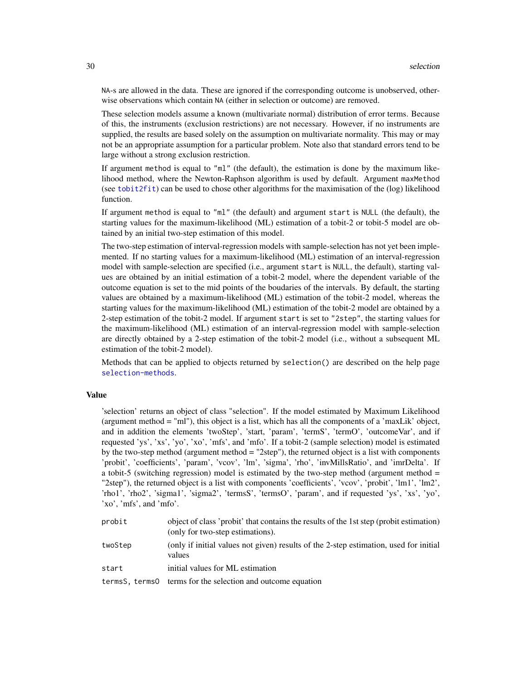<span id="page-29-0"></span>NA-s are allowed in the data. These are ignored if the corresponding outcome is unobserved, otherwise observations which contain NA (either in selection or outcome) are removed.

These selection models assume a known (multivariate normal) distribution of error terms. Because of this, the instruments (exclusion restrictions) are not necessary. However, if no instruments are supplied, the results are based solely on the assumption on multivariate normality. This may or may not be an appropriate assumption for a particular problem. Note also that standard errors tend to be large without a strong exclusion restriction.

If argument method is equal to "ml" (the default), the estimation is done by the maximum likelihood method, where the Newton-Raphson algorithm is used by default. Argument maxMethod (see [tobit2fit](#page-0-0)) can be used to chose other algorithms for the maximisation of the (log) likelihood function.

If argument method is equal to "ml" (the default) and argument start is NULL (the default), the starting values for the maximum-likelihood (ML) estimation of a tobit-2 or tobit-5 model are obtained by an initial two-step estimation of this model.

The two-step estimation of interval-regression models with sample-selection has not yet been implemented. If no starting values for a maximum-likelihood (ML) estimation of an interval-regression model with sample-selection are specified (i.e., argument start is NULL, the default), starting values are obtained by an initial estimation of a tobit-2 model, where the dependent variable of the outcome equation is set to the mid points of the boudaries of the intervals. By default, the starting values are obtained by a maximum-likelihood (ML) estimation of the tobit-2 model, whereas the starting values for the maximum-likelihood (ML) estimation of the tobit-2 model are obtained by a 2-step estimation of the tobit-2 model. If argument start is set to "2step", the starting values for the maximum-likelihood (ML) estimation of an interval-regression model with sample-selection are directly obtained by a 2-step estimation of the tobit-2 model (i.e., without a subsequent ML estimation of the tobit-2 model).

Methods that can be applied to objects returned by selection() are described on the help page [selection-methods](#page-33-1).

# Value

'selection' returns an object of class "selection". If the model estimated by Maximum Likelihood (argument method = "ml"), this object is a list, which has all the components of a 'maxLik' object, and in addition the elements 'twoStep', 'start, 'param', 'termS', 'termO', 'outcomeVar', and if requested 'ys', 'xs', 'yo', 'xo', 'mfs', and 'mfo'. If a tobit-2 (sample selection) model is estimated by the two-step method (argument method = "2step"), the returned object is a list with components 'probit', 'coefficients', 'param', 'vcov', 'lm', 'sigma', 'rho', 'invMillsRatio', and 'imrDelta'. If a tobit-5 (switching regression) model is estimated by the two-step method (argument method = "2step"), the returned object is a list with components 'coefficients', 'vcov', 'probit', 'lm1', 'lm2', 'rho1', 'rho2', 'sigma1', 'sigma2', 'termsS', 'termsO', 'param', and if requested 'ys', 'xs', 'yo', 'xo', 'mfs', and 'mfo'.

| probit  | object of class 'probit' that contains the results of the 1st step (probit estimation)<br>(only for two-step estimations). |
|---------|----------------------------------------------------------------------------------------------------------------------------|
| twoStep | (only if initial values not given) results of the 2-step estimation, used for initial<br>values                            |
| start   | initial values for ML estimation                                                                                           |
|         | termsS, terms0 terms for the selection and outcome equation                                                                |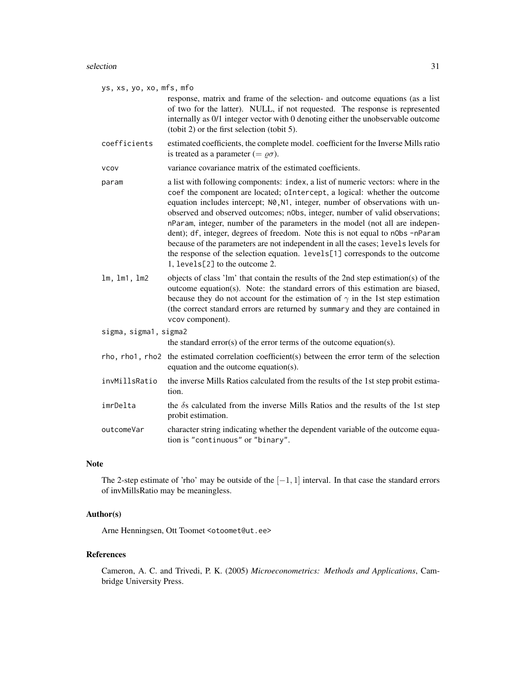#### selection 31

ys, xs, yo, xo, mfs, mfo

response, matrix and frame of the selection- and outcome equations (as a list of two for the latter). NULL, if not requested. The response is represented internally as 0/1 integer vector with 0 denoting either the unobservable outcome (tobit 2) or the first selection (tobit 5).

coefficients estimated coefficients, the complete model. coefficient for the Inverse Mills ratio is treated as a parameter (=  $\rho \sigma$ ).

- param a list with following components: index, a list of numeric vectors: where in the coef the component are located; oIntercept, a logical: whether the outcome equation includes intercept; N0, N1, integer, number of observations with unobserved and observed outcomes; nObs, integer, number of valid observations; nParam, integer, number of the parameters in the model (not all are independent); df, integer, degrees of freedom. Note this is not equal to n0bs -nParam because of the parameters are not independent in all the cases; levels levels for the response of the selection equation. levels[1] corresponds to the outcome 1, levels[2] to the outcome 2.
- lm, lm1, lm2 objects of class 'lm' that contain the results of the 2nd step estimation(s) of the outcome equation(s). Note: the standard errors of this estimation are biased, because they do not account for the estimation of  $\gamma$  in the 1st step estimation (the correct standard errors are returned by summary and they are contained in vcov component).
- sigma, sigma1, sigma2

the standard error(s) of the error terms of the outcome equation(s).

- rho, rho1, rho2 the estimated correlation coefficient(s) between the error term of the selection equation and the outcome equation(s).
- invMillsRatio the inverse Mills Ratios calculated from the results of the 1st step probit estimation.
- $imPelta$  the  $\delta s$  calculated from the inverse Mills Ratios and the results of the 1st step probit estimation.
- outcomeVar character string indicating whether the dependent variable of the outcome equation is "continuous" or "binary".

#### Note

The 2-step estimate of 'rho' may be outside of the  $[-1, 1]$  interval. In that case the standard errors of invMillsRatio may be meaningless.

# Author(s)

Arne Henningsen, Ott Toomet <otoomet@ut.ee>

#### References

Cameron, A. C. and Trivedi, P. K. (2005) *Microeconometrics: Methods and Applications*, Cambridge University Press.

vcov variance covariance matrix of the estimated coefficients.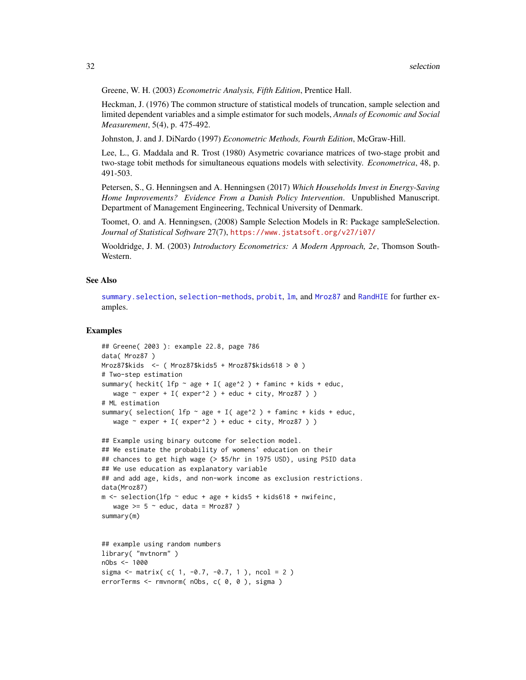<span id="page-31-0"></span>Greene, W. H. (2003) *Econometric Analysis, Fifth Edition*, Prentice Hall.

Heckman, J. (1976) The common structure of statistical models of truncation, sample selection and limited dependent variables and a simple estimator for such models, *Annals of Economic and Social Measurement*, 5(4), p. 475-492.

Johnston, J. and J. DiNardo (1997) *Econometric Methods, Fourth Edition*, McGraw-Hill.

Lee, L., G. Maddala and R. Trost (1980) Asymetric covariance matrices of two-stage probit and two-stage tobit methods for simultaneous equations models with selectivity. *Econometrica*, 48, p. 491-503.

Petersen, S., G. Henningsen and A. Henningsen (2017) *Which Households Invest in Energy-Saving Home Improvements? Evidence From a Danish Policy Intervention*. Unpublished Manuscript. Department of Management Engineering, Technical University of Denmark.

Toomet, O. and A. Henningsen, (2008) Sample Selection Models in R: Package sampleSelection. *Journal of Statistical Software* 27(7), <https://www.jstatsoft.org/v27/i07/>

Wooldridge, J. M. (2003) *Introductory Econometrics: A Modern Approach, 2e*, Thomson South-Western.

# See Also

[summary.selection](#page-36-2), [selection-methods](#page-33-1), [probit](#page-18-1), [lm](#page-0-0), and [Mroz87](#page-13-1) and [RandHIE](#page-22-1) for further examples.

```
## Greene( 2003 ): example 22.8, page 786
data( Mroz87 )
Mroz87$kids <- ( Mroz87$kids5 + Mroz87$kids618 > 0 )
# Two-step estimation
summary( heckit( lfp \sim age + I( age<sup>^2</sup> ) + faminc + kids + educ,
   wage \sim exper + I( exper^2 ) + educ + city, Mroz87 ) )
# ML estimation
summary( selection( lfp \sim age + I( age^2 ) + faminc + kids + educ,
   wage \sim exper + I( exper^2 ) + educ + city, Mroz87 ) )
## Example using binary outcome for selection model.
## We estimate the probability of womens' education on their
## chances to get high wage (> $5/hr in 1975 USD), using PSID data
## We use education as explanatory variable
## and add age, kids, and non-work income as exclusion restrictions.
data(Mroz87)
m <- selection(lfp \sim educ + age + kids5 + kids618 + nwifeinc,
   wage >= 5 \sim educ, data = Mroz87 )
summary(m)
## example using random numbers
library( "mvtnorm" )
nObs <- 1000
```

```
sigma \le matrix( c( 1, -0.7, -0.7, 1), ncol = 2)
errorTerms <- rmvnorm( nObs, c( 0, 0 ), sigma )
```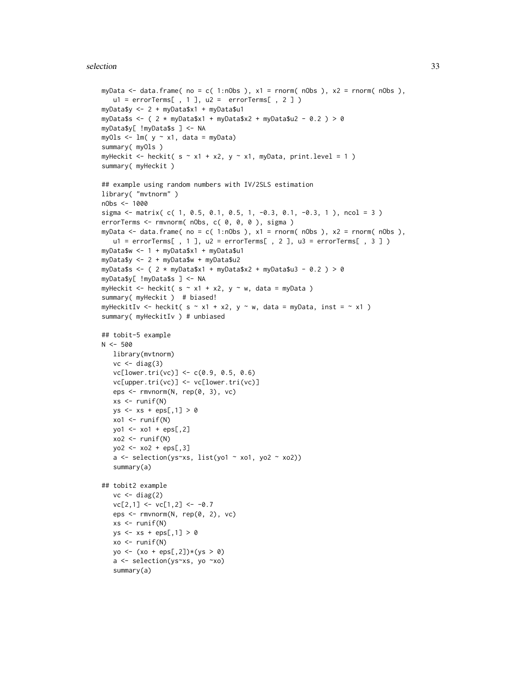#### selection 33

```
myData \leq data.frame( no = c( 1:nObs ), x1 = rnorm( nObs ), x2 = rnorm( nObs ),
  ul = errorTermE , 1], ul = errorTermE , 2])myData$y <- 2 + myData$x1 + myData$u1
myData$s <- ( 2 * myData$x1 + myData$x2 + myData$u2 - 0.2 ) > 0
myData$y[ !myData$s ] <- NA
myOls \leq lm( y \sim x1, data = myData)
summary( myOls )
myHeckit <- heckit( s \sim x1 + x2, y \sim x1, myData, print.level = 1)
summary( myHeckit )
## example using random numbers with IV/2SLS estimation
library( "mvtnorm" )
nObs <- 1000
sigma \le matrix( c( 1, 0.5, 0.1, 0.5, 1, -0.3, 0.1, -0.3, 1), ncol = 3)
errorTerms <- rmvnorm( nObs, c( 0, 0, 0 ), sigma )
myData \le data.frame( no = c( 1:nObs ), x1 = rnorm( nObs ), x2 = rnorm( nObs ),
  u1 = errorTerms[ , 1 ], u2 = errorTerm[ , 2 ], u3 = errorTerm[ , 3 ] )myData$w <- 1 + myData$x1 + myData$u1
myData$y <- 2 + myData$w + myData$u2
myData$s <- ( 2 * myData$x1 + myData$x2 + myData$u3 - 0.2 ) > 0
myData$y[ !myData$s ] <- NA
myHeckit <- heckit( s \sim x1 + x2, y \sim w, data = myData )
summary( myHeckit ) # biased!
myHeckitIv <- heckit( s \sim x1 + x2, y \sim w, data = myData, inst = \sim x1 )
summary( myHeckitIv ) # unbiased
## tobit-5 example
N < -500library(mvtnorm)
   vc \leftarrow diag(3)vc[lower.tri(vc)] < -c(0.9, 0.5, 0.6)vc[upper.tri(vc)] <- vc[lower.tri(vc)]
   eps <- rmvnorm(N, rep(0, 3), vc)
   xs < -runif(N)ys \leq x s + \text{eps}[1] > 0xo1 <- runif(N)
   yo1 <- xo1 + eps[,2]
   xo2 < - runif(N)yo2 <- xo2 + eps[,3]
   a \leftarrow selection(ys \sim x, list(yo1 \sim xo1, yo2 \sim xo2))summary(a)
## tobit2 example
   vc \leftarrow diag(2)vc[2,1] <- vc[1,2] <- -0.7
   eps <- rmvnorm(N, rep(0, 2), vc)
   xs < -runif(N)ys \leq x s + \text{eps}[1] > 0xo < -runif(N)yo \leftarrow (xo + eps[, 2]) * (ys > 0)a <- selection(ys~xs, yo ~xo)
   summary(a)
```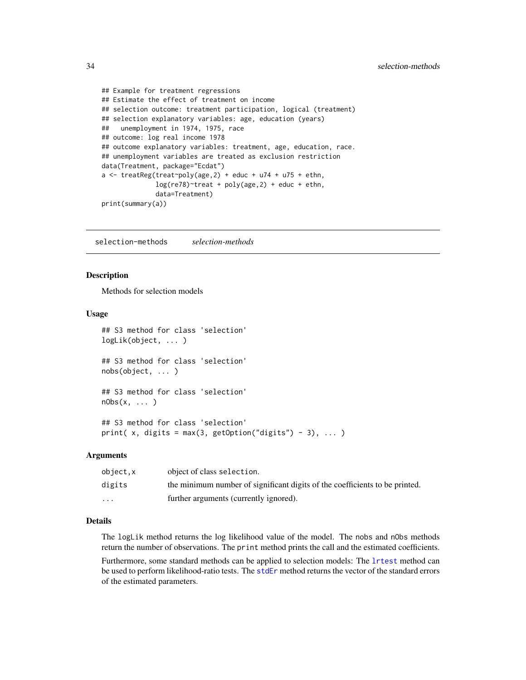```
## Example for treatment regressions
## Estimate the effect of treatment on income
## selection outcome: treatment participation, logical (treatment)
## selection explanatory variables: age, education (years)
## unemployment in 1974, 1975, race
## outcome: log real income 1978
## outcome explanatory variables: treatment, age, education, race.
## unemployment variables are treated as exclusion restriction
data(Treatment, package="Ecdat")
a \leq t reatReg(treat~poly(age, 2) + educ + u74 + u75 + ethn,
              log(re78)~treat + poly(age,2) + educ + ethn,
              data=Treatment)
print(summary(a))
```
<span id="page-33-1"></span>selection-methods *selection-methods*

# Description

Methods for selection models

#### Usage

```
## S3 method for class 'selection'
logLik(object, ... )
## S3 method for class 'selection'
nobs(object, ... )
## S3 method for class 'selection'
nObs(x, \ldots)## S3 method for class 'selection'
print( x, digits = max(3, getOption("digits") - 3), \dots)
```
# Arguments

| object.x                | object of class selection.                                                  |
|-------------------------|-----------------------------------------------------------------------------|
| digits                  | the minimum number of significant digits of the coefficients to be printed. |
| $\cdot$ $\cdot$ $\cdot$ | further arguments (currently ignored).                                      |

# Details

The logLik method returns the log likelihood value of the model. The nobs and nObs methods return the number of observations. The print method prints the call and the estimated coefficients.

Furthermore, some standard methods can be applied to selection models: The [lrtest](#page-0-0) method can be used to perform likelihood-ratio tests. The [stdEr](#page-0-0) method returns the vector of the standard errors of the estimated parameters.

<span id="page-33-0"></span>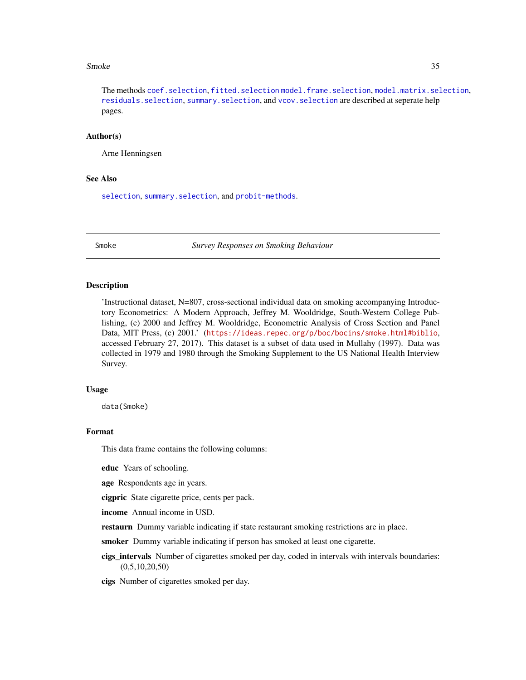#### <span id="page-34-0"></span>Smoke 35

The methods [coef.selection](#page-1-1), [fitted.selection](#page-3-1) [model.frame.selection](#page-10-2), [model.matrix.selection](#page-12-1), [residuals.selection](#page-26-1), [summary.selection](#page-36-2), and [vcov.selection](#page-38-1) are described at seperate help pages.

# Author(s)

Arne Henningsen

#### See Also

[selection](#page-27-1), summary. selection, and [probit-methods](#page-21-2).

Smoke *Survey Responses on Smoking Behaviour*

#### **Description**

'Instructional dataset, N=807, cross-sectional individual data on smoking accompanying Introductory Econometrics: A Modern Approach, Jeffrey M. Wooldridge, South-Western College Publishing, (c) 2000 and Jeffrey M. Wooldridge, Econometric Analysis of Cross Section and Panel Data, MIT Press, (c) 2001.' (<https://ideas.repec.org/p/boc/bocins/smoke.html#biblio>, accessed February 27, 2017). This dataset is a subset of data used in Mullahy (1997). Data was collected in 1979 and 1980 through the Smoking Supplement to the US National Health Interview Survey.

#### Usage

data(Smoke)

# Format

This data frame contains the following columns:

educ Years of schooling.

age Respondents age in years.

cigpric State cigarette price, cents per pack.

income Annual income in USD.

**restaurn** Dummy variable indicating if state restaurant smoking restrictions are in place.

smoker Dummy variable indicating if person has smoked at least one cigarette.

cigs\_intervals Number of cigarettes smoked per day, coded in intervals with intervals boundaries:  $(0,5,10,20,50)$ 

cigs Number of cigarettes smoked per day.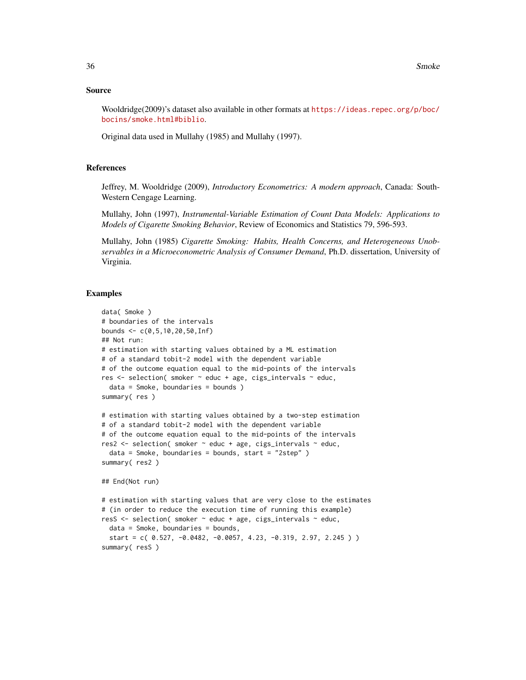#### Source

Wooldridge(2009)'s dataset also available in other formats at [https://ideas.repec.org/p/boc/](https://ideas.repec.org/p/boc/bocins/smoke.html#biblio) [bocins/smoke.html#biblio](https://ideas.repec.org/p/boc/bocins/smoke.html#biblio).

Original data used in Mullahy (1985) and Mullahy (1997).

# References

Jeffrey, M. Wooldridge (2009), *Introductory Econometrics: A modern approach*, Canada: South-Western Cengage Learning.

Mullahy, John (1997), *Instrumental-Variable Estimation of Count Data Models: Applications to Models of Cigarette Smoking Behavior*, Review of Economics and Statistics 79, 596-593.

Mullahy, John (1985) *Cigarette Smoking: Habits, Health Concerns, and Heterogeneous Unobservables in a Microeconometric Analysis of Consumer Demand*, Ph.D. dissertation, University of Virginia.

```
data( Smoke )
# boundaries of the intervals
bounds <- c(0,5,10,20,50,Inf)
## Not run:
# estimation with starting values obtained by a ML estimation
# of a standard tobit-2 model with the dependent variable
# of the outcome equation equal to the mid-points of the intervals
res <- selection( smoker ~ educ + age, cigs_intervals ~ educ,
 data = Smoke, boundaries = bounds )
summary( res )
# estimation with starting values obtained by a two-step estimation
# of a standard tobit-2 model with the dependent variable
# of the outcome equation equal to the mid-points of the intervals
res2 <- selection( smoker ~ educ + age, cigs_intervals ~ educ,
 data = Smoke, boundaries = bounds, start = "2step" )
summary( res2 )
## End(Not run)
# estimation with starting values that are very close to the estimates
# (in order to reduce the execution time of running this example)
resS <- selection( smoker ~ educ + age, cigs_intervals ~ educ,
 data = Smoke, boundaries = bounds,
 start = c( 0.527, -0.0482, -0.0057, 4.23, -0.319, 2.97, 2.245 ) )
summary( resS )
```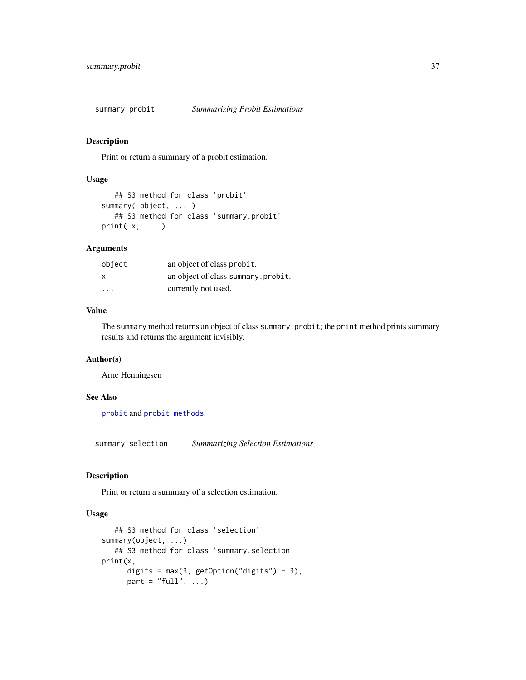<span id="page-36-1"></span><span id="page-36-0"></span>summary.probit *Summarizing Probit Estimations*

# Description

Print or return a summary of a probit estimation.

# Usage

```
## S3 method for class 'probit'
summary( object, ... )
   ## S3 method for class 'summary.probit'
print(x, \ldots)
```
# Arguments

| object | an object of class probit.         |
|--------|------------------------------------|
| X      | an object of class summary.probit. |
| .      | currently not used.                |

# Value

The summary method returns an object of class summary.probit; the print method prints summary results and returns the argument invisibly.

# Author(s)

Arne Henningsen

# See Also

[probit](#page-18-1) and [probit-methods](#page-21-2).

<span id="page-36-2"></span>summary.selection *Summarizing Selection Estimations*

#### Description

Print or return a summary of a selection estimation.

# Usage

```
## S3 method for class 'selection'
summary(object, ...)
   ## S3 method for class 'summary.selection'
print(x,
      digits = max(3, getOption("digits") - 3),
      part = "full", \dots)
```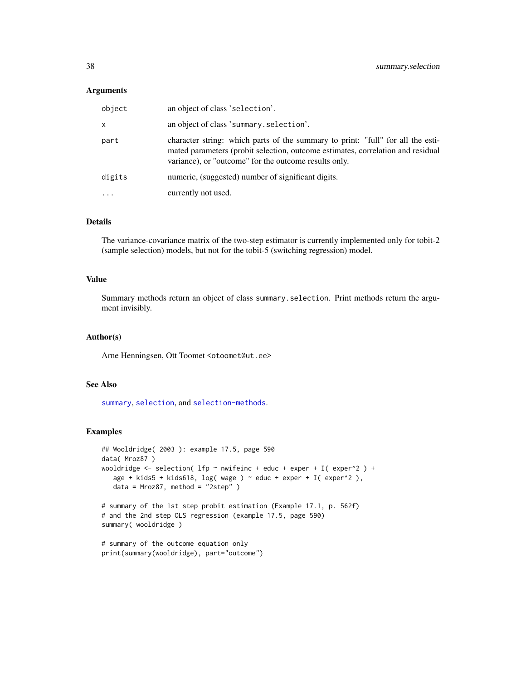# <span id="page-37-0"></span>**Arguments**

| object       | an object of class 'selection'.                                                                                                                                                                                             |
|--------------|-----------------------------------------------------------------------------------------------------------------------------------------------------------------------------------------------------------------------------|
| $\mathsf{x}$ | an object of class 'summary.selection'.                                                                                                                                                                                     |
| part         | character string: which parts of the summary to print: "full" for all the esti-<br>mated parameters (probit selection, outcome estimates, correlation and residual<br>variance), or "outcome" for the outcome results only. |
| digits       | numeric, (suggested) number of significant digits.                                                                                                                                                                          |
|              | currently not used.                                                                                                                                                                                                         |

# Details

The variance-covariance matrix of the two-step estimator is currently implemented only for tobit-2 (sample selection) models, but not for the tobit-5 (switching regression) model.

# Value

Summary methods return an object of class summary.selection. Print methods return the argument invisibly.

#### Author(s)

Arne Henningsen, Ott Toomet <otoomet@ut.ee>

# See Also

[summary](#page-0-0), [selection](#page-27-1), and [selection-methods](#page-33-1).

```
## Wooldridge( 2003 ): example 17.5, page 590
data( Mroz87 )
wooldridge \le - selection( lfp \sim nwifeinc + educ + exper + I( exper^2 ) +
   age + kids5 + kids618, log( wage ) \sim educ + exper + I( exper^2 ),
   data = Mroz87, method = "2step" )
# summary of the 1st step probit estimation (Example 17.1, p. 562f)
# and the 2nd step OLS regression (example 17.5, page 590)
summary( wooldridge )
# summary of the outcome equation only
print(summary(wooldridge), part="outcome")
```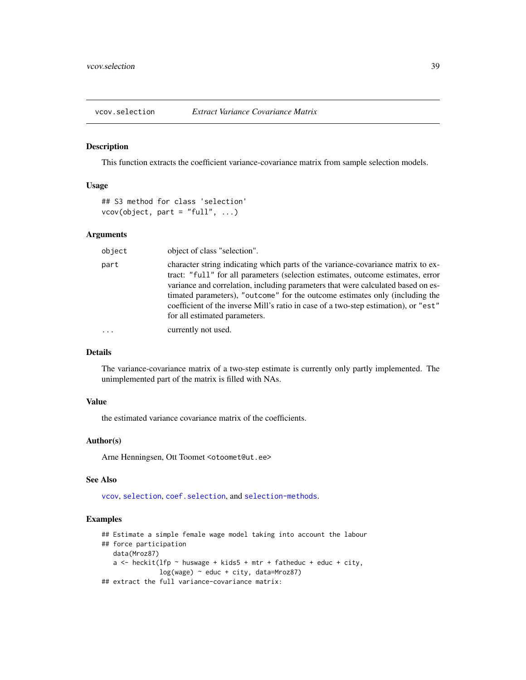<span id="page-38-1"></span><span id="page-38-0"></span>

This function extracts the coefficient variance-covariance matrix from sample selection models.

# Usage

```
## S3 method for class 'selection'
vcov(object, part = "full", ...)
```
# Arguments

| object    | object of class "selection".                                                                                                                                                                                                                                                                                                                                                                                                                                    |
|-----------|-----------------------------------------------------------------------------------------------------------------------------------------------------------------------------------------------------------------------------------------------------------------------------------------------------------------------------------------------------------------------------------------------------------------------------------------------------------------|
| part      | character string indicating which parts of the variance-covariance matrix to ex-<br>tract: "full" for all parameters (selection estimates, outcome estimates, error<br>variance and correlation, including parameters that were calculated based on es-<br>timated parameters), "outcome" for the outcome estimates only (including the<br>coefficient of the inverse Mill's ratio in case of a two-step estimation), or "est"<br>for all estimated parameters. |
| $\ddotsc$ | currently not used.                                                                                                                                                                                                                                                                                                                                                                                                                                             |

# Details

The variance-covariance matrix of a two-step estimate is currently only partly implemented. The unimplemented part of the matrix is filled with NAs.

# Value

the estimated variance covariance matrix of the coefficients.

# Author(s)

Arne Henningsen, Ott Toomet <otoomet@ut.ee>

# See Also

[vcov](#page-0-0), [selection](#page-27-1), [coef.selection](#page-1-1), and [selection-methods](#page-33-1).

```
## Estimate a simple female wage model taking into account the labour
## force participation
  data(Mroz87)
  a \le heckit(lfp \sim huswage + kids5 + mtr + fatheduc + educ + city,
               log(wage) ~ educ + city, data=Mroz87)
## extract the full variance-covariance matrix:
```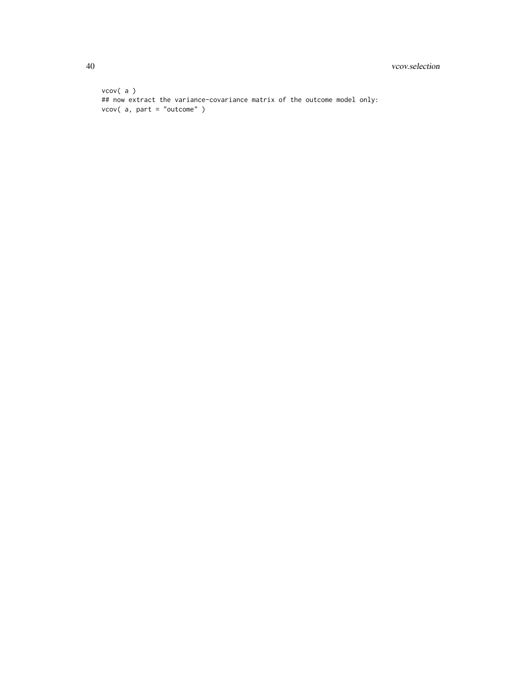```
vcov( a )
## now extract the variance-covariance matrix of the outcome model only:
vcov( a, part = "outcome" )
```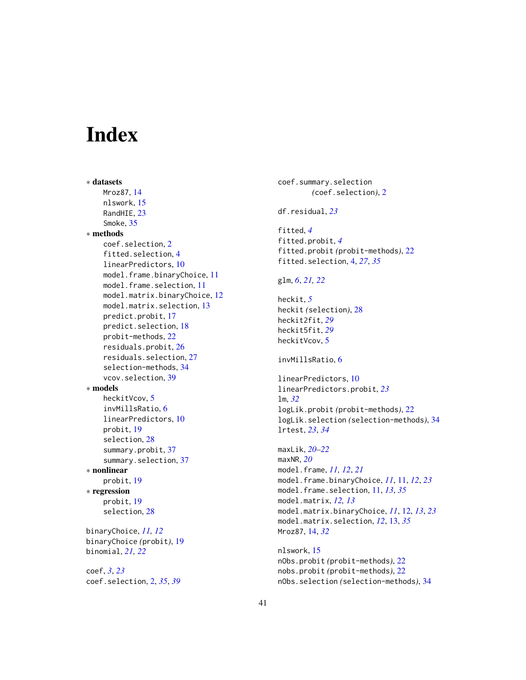# <span id="page-40-0"></span>Index

∗ datasets Mroz87, [14](#page-13-0) nlswork, [15](#page-14-0) RandHIE, [23](#page-22-0) Smoke, [35](#page-34-0) ∗ methods coef.selection, [2](#page-1-0) fitted.selection, [4](#page-3-0) linearPredictors, [10](#page-9-0) model.frame.binaryChoice, [11](#page-10-0) model.frame.selection, [11](#page-10-0) model.matrix.binaryChoice, [12](#page-11-0) model.matrix.selection, [13](#page-12-0) predict.probit, [17](#page-16-0) predict.selection, [18](#page-17-0) probit-methods, [22](#page-21-0) residuals.probit, [26](#page-25-0) residuals.selection, [27](#page-26-0) selection-methods, [34](#page-33-0) vcov.selection, [39](#page-38-0) ∗ models heckitVcov, [5](#page-4-0) invMillsRatio, [6](#page-5-0) linearPredictors, [10](#page-9-0) probit, [19](#page-18-0) selection, [28](#page-27-0) summary.probit, [37](#page-36-0) summary.selection, [37](#page-36-0) ∗ nonlinear probit, [19](#page-18-0) ∗ regression probit, [19](#page-18-0) selection, [28](#page-27-0) binaryChoice, *[11,](#page-10-0) [12](#page-11-0)* binaryChoice *(*probit*)*, [19](#page-18-0) binomial, *[21,](#page-20-0) [22](#page-21-0)* coef, *[3](#page-2-0)*, *[23](#page-22-0)* coef.selection, [2,](#page-1-0) *[35](#page-34-0)*, *[39](#page-38-0)*

coef.summary.selection *(*coef.selection*)*, [2](#page-1-0) df.residual, *[23](#page-22-0)* fitted, *[4](#page-3-0)* fitted.probit, *[4](#page-3-0)* fitted.probit *(*probit-methods*)*, [22](#page-21-0) fitted.selection, [4,](#page-3-0) *[27](#page-26-0)*, *[35](#page-34-0)* glm, *[6](#page-5-0)*, *[21,](#page-20-0) [22](#page-21-0)* heckit, *[5](#page-4-0)* heckit *(*selection*)*, [28](#page-27-0) heckit2fit, *[29](#page-28-0)* heckit5fit, *[29](#page-28-0)* heckitVcov, [5](#page-4-0) invMillsRatio, [6](#page-5-0) linearPredictors, [10](#page-9-0) linearPredictors.probit, *[23](#page-22-0)* lm, *[32](#page-31-0)* logLik.probit *(*probit-methods*)*, [22](#page-21-0) logLik.selection *(*selection-methods*)*, [34](#page-33-0) lrtest, *[23](#page-22-0)*, *[34](#page-33-0)* maxLik, *[20](#page-19-0)[–22](#page-21-0)* maxNR, *[20](#page-19-0)* model.frame, *[11,](#page-10-0) [12](#page-11-0)*, *[21](#page-20-0)* model.frame.binaryChoice, *[11](#page-10-0)*, [11,](#page-10-0) *[12](#page-11-0)*, *[23](#page-22-0)* model.frame.selection, [11,](#page-10-0) *[13](#page-12-0)*, *[35](#page-34-0)* model.matrix, *[12,](#page-11-0) [13](#page-12-0)* model.matrix.binaryChoice, *[11](#page-10-0)*, [12,](#page-11-0) *[13](#page-12-0)*, *[23](#page-22-0)* model.matrix.selection, *[12](#page-11-0)*, [13,](#page-12-0) *[35](#page-34-0)* Mroz87, [14,](#page-13-0) *[32](#page-31-0)*

nlswork, [15](#page-14-0) nObs.probit *(*probit-methods*)*, [22](#page-21-0) nobs.probit *(*probit-methods*)*, [22](#page-21-0) nObs.selection *(*selection-methods*)*, [34](#page-33-0)